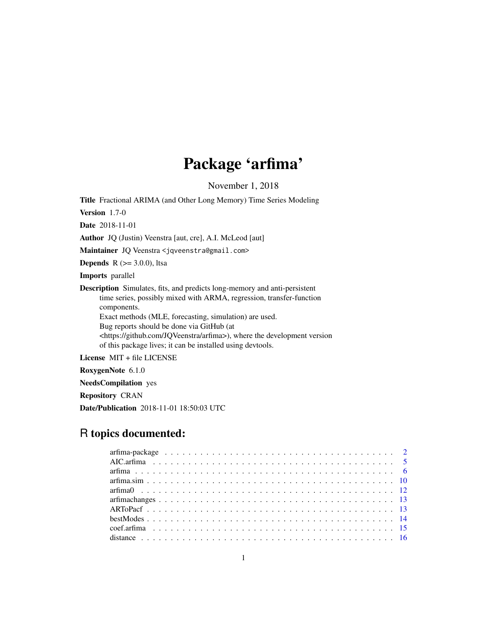# Package 'arfima'

November 1, 2018

<span id="page-0-0"></span>Title Fractional ARIMA (and Other Long Memory) Time Series Modeling

Version 1.7-0

Date 2018-11-01

Author JQ (Justin) Veenstra [aut, cre], A.I. McLeod [aut]

Maintainer JQ Veenstra <jqveenstra@gmail.com>

**Depends** R  $(>= 3.0.0)$ , ltsa

Imports parallel

Description Simulates, fits, and predicts long-memory and anti-persistent time series, possibly mixed with ARMA, regression, transfer-function components.

Exact methods (MLE, forecasting, simulation) are used.

Bug reports should be done via GitHub (at

<https://github.com/JQVeenstra/arfima>), where the development version of this package lives; it can be installed using devtools.

License MIT + file LICENSE

RoxygenNote 6.1.0

NeedsCompilation yes

Repository CRAN

Date/Publication 2018-11-01 18:50:03 UTC

# R topics documented: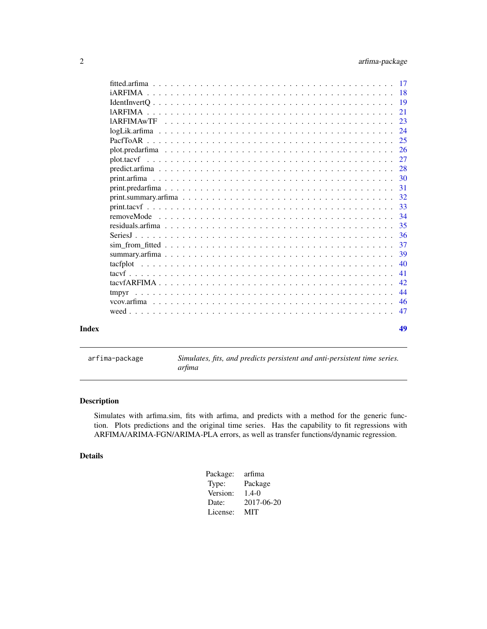<span id="page-1-0"></span>

| Index |       | 49 |
|-------|-------|----|
|       |       |    |
|       |       |    |
|       | tmpyr | 44 |
|       |       | 42 |
|       |       | 41 |
|       |       |    |
|       |       |    |
|       |       |    |
|       |       |    |
|       |       |    |
|       |       |    |
|       |       |    |
|       |       |    |
|       |       |    |
|       |       |    |
|       |       |    |
|       |       |    |
|       |       |    |
|       |       |    |
|       |       |    |
|       |       |    |
|       |       |    |
|       |       |    |
|       |       |    |
|       |       |    |

<span id="page-1-1"></span>arfima-package *Simulates, fits, and predicts persistent and anti-persistent time series. arfima*

# Description

Simulates with arfima.sim, fits with arfima, and predicts with a method for the generic function. Plots predictions and the original time series. Has the capability to fit regressions with ARFIMA/ARIMA-FGN/ARIMA-PLA errors, as well as transfer functions/dynamic regression.

# Details

| Package: | arfima     |
|----------|------------|
| Type:    | Package    |
| Version: | $1.4 - 0$  |
| Date:    | 2017-06-20 |
| License: | MIT        |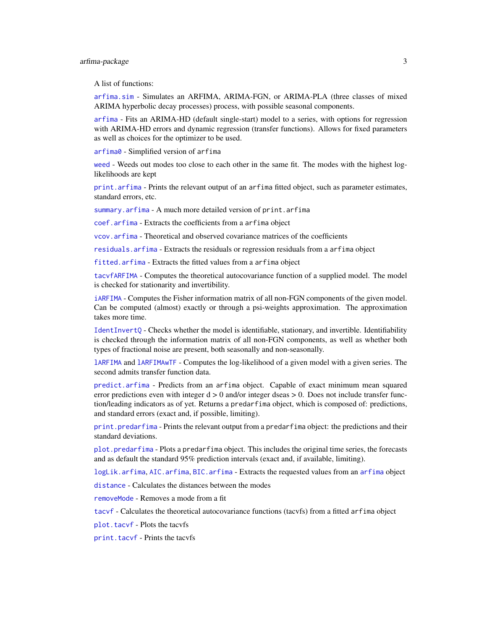#### <span id="page-2-0"></span>arfima-package 3

A list of functions:

[arfima.sim](#page-9-1) - Simulates an ARFIMA, ARIMA-FGN, or ARIMA-PLA (three classes of mixed ARIMA hyperbolic decay processes) process, with possible seasonal components.

[arfima](#page-5-1) - Fits an ARIMA-HD (default single-start) model to a series, with options for regression with ARIMA-HD errors and dynamic regression (transfer functions). Allows for fixed parameters as well as choices for the optimizer to be used.

[arfima0](#page-11-1) - Simplified version of arfima

[weed](#page-46-1) - Weeds out modes too close to each other in the same fit. The modes with the highest loglikelihoods are kept

[print.arfima](#page-29-1) - Prints the relevant output of an arfima fitted object, such as parameter estimates, standard errors, etc.

[summary.arfima](#page-38-1) - A much more detailed version of print.arfima

[coef.arfima](#page-14-1) - Extracts the coefficients from a arfima object

[vcov.arfima](#page-45-1) - Theoretical and observed covariance matrices of the coefficients

[residuals.arfima](#page-34-1) - Extracts the residuals or regression residuals from a arfima object

[fitted.arfima](#page-16-1) - Extracts the fitted values from a arfima object

[tacvfARFIMA](#page-41-1) - Computes the theoretical autocovariance function of a supplied model. The model is checked for stationarity and invertibility.

[iARFIMA](#page-17-1) - Computes the Fisher information matrix of all non-FGN components of the given model. Can be computed (almost) exactly or through a psi-weights approximation. The approximation takes more time.

[IdentInvertQ](#page-18-1) - Checks whether the model is identifiable, stationary, and invertible. Identifiability is checked through the information matrix of all non-FGN components, as well as whether both types of fractional noise are present, both seasonally and non-seasonally.

[lARFIMA](#page-20-1) and [lARFIMAwTF](#page-22-1) - Computes the log-likelihood of a given model with a given series. The second admits transfer function data.

[predict.arfima](#page-27-1) - Predicts from an arfima object. Capable of exact minimum mean squared error predictions even with integer  $d > 0$  and/or integer dseas  $> 0$ . Does not include transfer function/leading indicators as of yet. Returns a predarfima object, which is composed of: predictions, and standard errors (exact and, if possible, limiting).

[print.predarfima](#page-30-1) - Prints the relevant output from a predarfima object: the predictions and their standard deviations.

[plot.predarfima](#page-25-1) - Plots a predarfima object. This includes the original time series, the forecasts and as default the standard 95% prediction intervals (exact and, if available, limiting).

[logLik.arfima](#page-23-1), [AIC.arfima](#page-4-1), [BIC.arfima](#page-4-2) - Extracts the requested values from an [arfima](#page-5-1) object

[distance](#page-15-1) - Calculates the distances between the modes

[removeMode](#page-33-1) - Removes a mode from a fit

[tacvf](#page-40-1) - Calculates the theoretical autocovariance functions (tacvfs) from a fitted arfima object

[plot.tacvf](#page-26-1) - Plots the tacvfs

[print.tacvf](#page-32-1) - Prints the tacvfs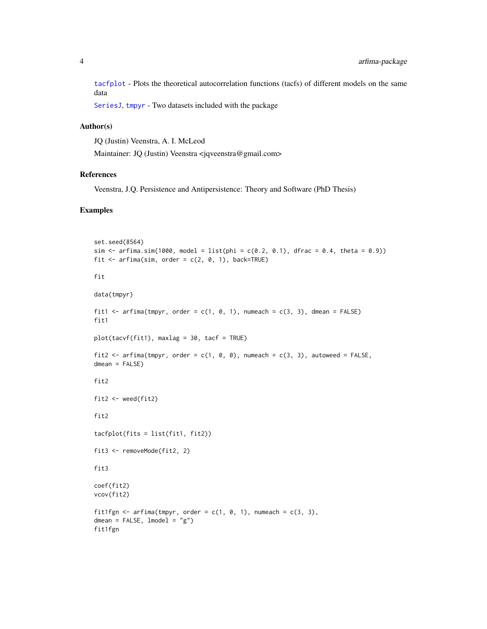<span id="page-3-0"></span>[tacfplot](#page-39-1) - Plots the theoretical autocorrelation functions (tacfs) of different models on the same data

[SeriesJ](#page-35-1), [tmpyr](#page-43-1) - Two datasets included with the package

# Author(s)

JQ (Justin) Veenstra, A. I. McLeod

Maintainer: JQ (Justin) Veenstra <jqveenstra@gmail.com>

# References

Veenstra, J.Q. Persistence and Antipersistence: Theory and Software (PhD Thesis)

```
set.seed(8564)
sim \le - arfima.sim(1000, model = list(phi = c(0.2, 0.1), dfrac = 0.4, theta = 0.9))
fit \leq arfima(sim, order = c(2, 0, 1), back=TRUE)
fit
data(tmpyr)
fit1 \le arfima(tmpyr, order = c(1, 0, 1), numeach = c(3, 3), dmean = FALSE)
fit1
plot(tacvf(fit1), maxlag = 30, tacf = TRUE)
fit2 <- arfima(tmpyr, order = c(1, 0, 0), numeach = c(3, 3), autoweed = FALSE,
dmean = FALSE)fit2
fit2 \leftarrow weed(fit2)
fit2
tacfplot(fits = list(fit1, fit2))
fit3 <- removeMode(fit2, 2)
fit3
coef(fit2)
vcov(fit2)
fit1fgn \leq arfima(tmpyr, order = c(1, 0, 1), numeach = c(3, 3),
dmean = FALSE, 1mode1 = "g")fit1fgn
```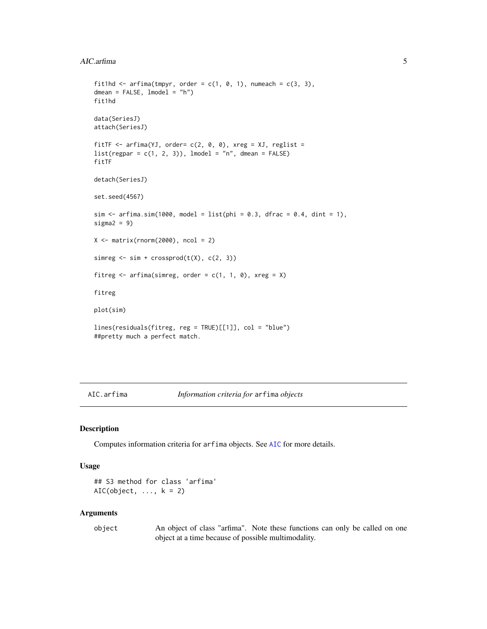#### <span id="page-4-0"></span>AIC.arfima 5

```
fit1hd \leq arfima(tmpyr, order = c(1, 0, 1), numeach = c(3, 3),
dmean = FALSE, lmodel = "h")fit1hd
data(SeriesJ)
attach(SeriesJ)
fitTF <- arfima(YJ, order= c(2, 0, 0), xreg = XJ, reglist =
list(regpar = c(1, 2, 3)), lmodel = "n", dmean = FALSE)fitTF
detach(SeriesJ)
set.seed(4567)
sim \le arfima.sim(1000, model = list(phi = 0.3, dfrac = 0.4, dint = 1),
signa2 = 9)
X \leftarrow matrix(rnorm(2000), ncol = 2)simreg \leq sim + crossprod(t(X), c(2, 3))
fitreg \leq arfima(simreg, order = c(1, 1, 0), xreg = X)
fitreg
plot(sim)
lines(residuals(fitreg, reg = TRUE)[[1]], col = "blue")
##pretty much a perfect match.
```
<span id="page-4-1"></span>AIC.arfima *Information criteria for* arfima *objects*

# <span id="page-4-2"></span>Description

Computes information criteria for arfima objects. See [AIC](#page-0-0) for more details.

#### Usage

## S3 method for class 'arfima'  $AIC(object, ..., k = 2)$ 

#### Arguments

object An object of class "arfima". Note these functions can only be called on one object at a time because of possible multimodality.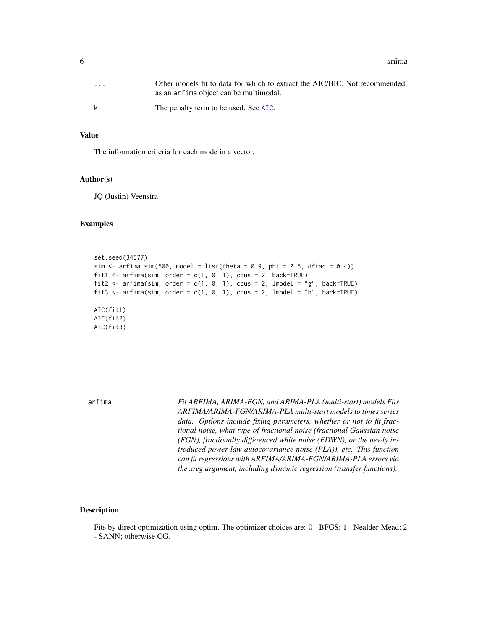<span id="page-5-0"></span>

| $\cdot$ $\cdot$ $\cdot$ | Other models fit to data for which to extract the AIC/BIC. Not recommended,<br>as an arfima object can be multimodal. |
|-------------------------|-----------------------------------------------------------------------------------------------------------------------|
| k                       | The penalty term to be used. See AIC.                                                                                 |

# Value

The information criteria for each mode in a vector.

#### Author(s)

JQ (Justin) Veenstra

#### Examples

```
set.seed(34577)
sim \le arfima.sim(500, model = list(theta = 0.9, phi = 0.5, dfrac = 0.4))
fit1 <- \arctan( \sin, \text{ order} = c(1, 0, 1), \text{ cups} = 2, \text{ back} = \text{TRUE})fit2 <- arfima(sim, order = c(1, 0, 1), cpus = 2, lmodel = "g", back=TRUE)
fit3 <- arfima(sim, order = c(1, 0, 1), cpus = 2, lmodel = "h", back=TRUE)
AIC(fit1)
AIC(fit2)
AIC(fit3)
```
<span id="page-5-1"></span>

| arfima | Fit ARFIMA, ARIMA-FGN, and ARIMA-PLA (multi-start) models Fits         |
|--------|------------------------------------------------------------------------|
|        | ARFIMA/ARIMA-FGN/ARIMA-PLA multi-start models to times series          |
|        | data. Options include fixing parameters, whether or not to fit frac-   |
|        | tional noise, what type of fractional noise (fractional Gaussian noise |
|        | (FGN), fractionally differenced white noise (FDWN), or the newly in-   |
|        | troduced power-law autocovariance noise (PLA)), etc. This function     |
|        | can fit regressions with ARFIMA/ARIMA-FGN/ARIMA-PLA errors via         |
|        | the xreg argument, including dynamic regression (transfer functions).  |
|        |                                                                        |

# Description

Fits by direct optimization using optim. The optimizer choices are: 0 - BFGS; 1 - Nealder-Mead; 2 - SANN; otherwise CG.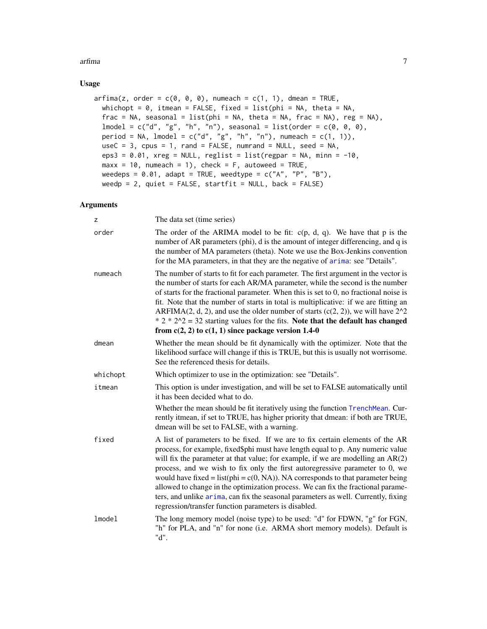#### <span id="page-6-0"></span>arfima and the contract of the contract of the contract of the contract of the contract of the contract of the contract of the contract of the contract of the contract of the contract of the contract of the contract of the

# Usage

```
\text{arfima}(z, \text{ order} = c(0, 0, 0), \text{ number} = c(1, 1), \text{ dmean} = \text{TRUE},whichopt = \theta, itmean = FALSE, fixed = list(phi = NA, theta = NA,
  frac = NA, seasonal = list(phi = NA, theta = NA, frac = NA), reg = NA),
  lmodel = c("d", "g", "h", "n"), seasonal = list(order = c(0, 0, 0),period = NA, lmodel = c("d", "g", "h", "n"), numeach = c(1, 1)),
  useC = 3, cpus = 1, rand = FALSE, numrand = NULL, seed = NA,
  eps3 = 0.01, xreg = NULL, regular = list(regpar = NA), min = -10,
  max = 10, numeach = 1), check = F, autoweed = TRUE,
 weedeps = 0.01, adapt = TRUE, weedtype = c("A", "P", "B"),weedp = 2, quiet = FALSE, startfit = NULL, back = FALSE)
```
#### Arguments

| z             | The data set (time series)                                                                                                                                                                                                                                                                                                                                                                                                                                                                                                                                                                                                                                  |
|---------------|-------------------------------------------------------------------------------------------------------------------------------------------------------------------------------------------------------------------------------------------------------------------------------------------------------------------------------------------------------------------------------------------------------------------------------------------------------------------------------------------------------------------------------------------------------------------------------------------------------------------------------------------------------------|
| order         | The order of the ARIMA model to be fit: $c(p, d, q)$ . We have that p is the<br>number of AR parameters (phi), d is the amount of integer differencing, and q is<br>the number of MA parameters (theta). Note we use the Box-Jenkins convention<br>for the MA parameters, in that they are the negative of arima: see "Details".                                                                                                                                                                                                                                                                                                                            |
| numeach       | The number of starts to fit for each parameter. The first argument in the vector is<br>the number of starts for each AR/MA parameter, while the second is the number<br>of starts for the fractional parameter. When this is set to $0$ , no fractional noise is<br>fit. Note that the number of starts in total is multiplicative: if we are fitting an<br>ARFIMA(2, d, 2), and use the older number of starts $(c(2, 2))$ , we will have $2^2$<br>* $2 * 2^2 = 32$ starting values for the fits. Note that the default has changed<br>from $c(2, 2)$ to $c(1, 1)$ since package version 1.4-0                                                             |
| dmean         | Whether the mean should be fit dynamically with the optimizer. Note that the<br>likelihood surface will change if this is TRUE, but this is usually not worrisome.<br>See the referenced thesis for details.                                                                                                                                                                                                                                                                                                                                                                                                                                                |
| whichopt      | Which optimizer to use in the optimization: see "Details".                                                                                                                                                                                                                                                                                                                                                                                                                                                                                                                                                                                                  |
| itmean        | This option is under investigation, and will be set to FALSE automatically until<br>it has been decided what to do.                                                                                                                                                                                                                                                                                                                                                                                                                                                                                                                                         |
|               | Whether the mean should be fit iteratively using the function TrenchMean. Cur-<br>rently itmean, if set to TRUE, has higher priority that dmean: if both are TRUE,<br>dmean will be set to FALSE, with a warning.                                                                                                                                                                                                                                                                                                                                                                                                                                           |
| fixed         | A list of parameters to be fixed. If we are to fix certain elements of the AR<br>process, for example, fixed\$phi must have length equal to p. Any numeric value<br>will fix the parameter at that value; for example, if we are modelling an AR(2)<br>process, and we wish to fix only the first autoregressive parameter to 0, we<br>would have fixed = list(phi = $c(0, NA)$ ). NA corresponds to that parameter being<br>allowed to change in the optimization process. We can fix the fractional parame-<br>ters, and unlike arima, can fix the seasonal parameters as well. Currently, fixing<br>regression/transfer function parameters is disabled. |
| <b>lmodel</b> | The long memory model (noise type) to be used: "d" for FDWN, "g" for FGN,<br>"h" for PLA, and "n" for none (i.e. ARMA short memory models). Default is<br>"d".                                                                                                                                                                                                                                                                                                                                                                                                                                                                                              |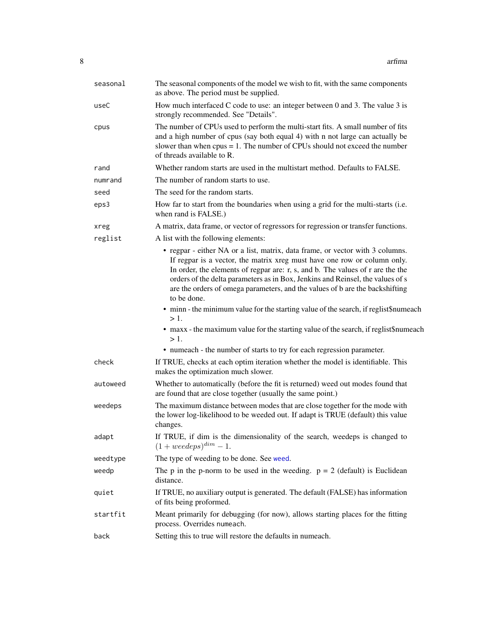<span id="page-7-0"></span>

| seasonal | The seasonal components of the model we wish to fit, with the same components<br>as above. The period must be supplied.                                                                                                                                                                                                                                                                                                      |
|----------|------------------------------------------------------------------------------------------------------------------------------------------------------------------------------------------------------------------------------------------------------------------------------------------------------------------------------------------------------------------------------------------------------------------------------|
| useC     | How much interfaced C code to use: an integer between 0 and 3. The value 3 is<br>strongly recommended. See "Details".                                                                                                                                                                                                                                                                                                        |
| cpus     | The number of CPUs used to perform the multi-start fits. A small number of fits<br>and a high number of cpus (say both equal 4) with n not large can actually be<br>slower than when $cpus = 1$ . The number of CPUs should not exceed the number<br>of threads available to R.                                                                                                                                              |
| rand     | Whether random starts are used in the multistart method. Defaults to FALSE.                                                                                                                                                                                                                                                                                                                                                  |
| numrand  | The number of random starts to use.                                                                                                                                                                                                                                                                                                                                                                                          |
| seed     | The seed for the random starts.                                                                                                                                                                                                                                                                                                                                                                                              |
| eps3     | How far to start from the boundaries when using a grid for the multi-starts (i.e.<br>when rand is FALSE.)                                                                                                                                                                                                                                                                                                                    |
| xreg     | A matrix, data frame, or vector of regressors for regression or transfer functions.                                                                                                                                                                                                                                                                                                                                          |
| reglist  | A list with the following elements:                                                                                                                                                                                                                                                                                                                                                                                          |
|          | • regpar - either NA or a list, matrix, data frame, or vector with 3 columns.<br>If regpar is a vector, the matrix xreg must have one row or column only.<br>In order, the elements of regpar are: r, s, and b. The values of r are the the<br>orders of the delta parameters as in Box, Jenkins and Reinsel, the values of s<br>are the orders of omega parameters, and the values of b are the backshifting<br>to be done. |
|          | • minn - the minimum value for the starting value of the search, if reglist\$numeach<br>$>1$ .                                                                                                                                                                                                                                                                                                                               |
|          | • maxx - the maximum value for the starting value of the search, if reglist\$numeach<br>$>1$ .                                                                                                                                                                                                                                                                                                                               |
|          | • numeach - the number of starts to try for each regression parameter.                                                                                                                                                                                                                                                                                                                                                       |
| check    | If TRUE, checks at each optim iteration whether the model is identifiable. This<br>makes the optimization much slower.                                                                                                                                                                                                                                                                                                       |
| autoweed | Whether to automatically (before the fit is returned) weed out modes found that<br>are found that are close together (usually the same point.)                                                                                                                                                                                                                                                                               |
| weedeps  | The maximum distance between modes that are close together for the mode with<br>the lower log-likelihood to be weeded out. If adapt is TRUE (default) this value<br>changes.                                                                                                                                                                                                                                                 |
| adapt    | If TRUE, if dim is the dimensionality of the search, weedeps is changed to<br>$(1+weedeps)^{dim} - 1.$                                                                                                                                                                                                                                                                                                                       |
| weedtype | The type of weeding to be done. See weed.                                                                                                                                                                                                                                                                                                                                                                                    |
| weedp    | The p in the p-norm to be used in the weeding. $p = 2$ (default) is Euclidean<br>distance.                                                                                                                                                                                                                                                                                                                                   |
| quiet    | If TRUE, no auxiliary output is generated. The default (FALSE) has information<br>of fits being proformed.                                                                                                                                                                                                                                                                                                                   |
| startfit | Meant primarily for debugging (for now), allows starting places for the fitting<br>process. Overrides numeach.                                                                                                                                                                                                                                                                                                               |
| back     | Setting this to true will restore the defaults in numeach.                                                                                                                                                                                                                                                                                                                                                                   |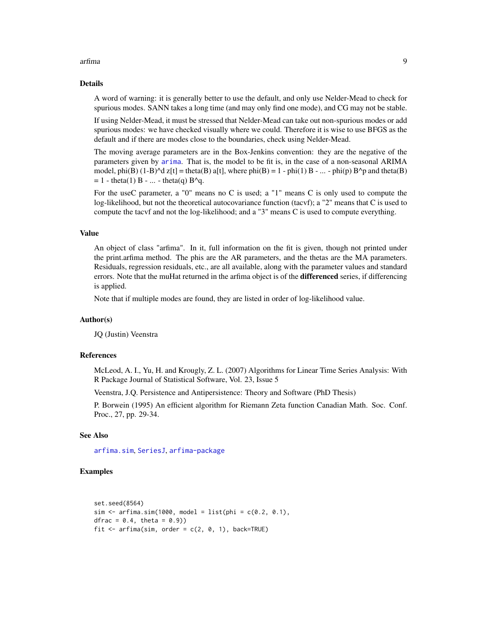#### <span id="page-8-0"></span>arfima to the contract of the contract of the contract of the contract of the contract of the contract of the contract of the contract of the contract of the contract of the contract of the contract of the contract of the

#### Details

A word of warning: it is generally better to use the default, and only use Nelder-Mead to check for spurious modes. SANN takes a long time (and may only find one mode), and CG may not be stable.

If using Nelder-Mead, it must be stressed that Nelder-Mead can take out non-spurious modes or add spurious modes: we have checked visually where we could. Therefore it is wise to use BFGS as the default and if there are modes close to the boundaries, check using Nelder-Mead.

The moving average parameters are in the Box-Jenkins convention: they are the negative of the parameters given by [arima](#page-0-0). That is, the model to be fit is, in the case of a non-seasonal ARIMA model, phi(B)  $(1-B)^{A}d$  z[t] = theta(B) a[t], where phi(B) = 1 - phi(1) B - ... - phi(p) B^p and theta(B)  $= 1 - \text{theta}(1) B - \dots - \text{theta}(q) B^q.$ 

For the useC parameter, a "0" means no C is used; a "1" means C is only used to compute the log-likelihood, but not the theoretical autocovariance function (tacvf); a "2" means that C is used to compute the tacvf and not the log-likelihood; and a "3" means C is used to compute everything.

#### Value

An object of class "arfima". In it, full information on the fit is given, though not printed under the print.arfima method. The phis are the AR parameters, and the thetas are the MA parameters. Residuals, regression residuals, etc., are all available, along with the parameter values and standard errors. Note that the muHat returned in the arfima object is of the **differenced** series, if differencing is applied.

Note that if multiple modes are found, they are listed in order of log-likelihood value.

#### Author(s)

JQ (Justin) Veenstra

#### References

McLeod, A. I., Yu, H. and Krougly, Z. L. (2007) Algorithms for Linear Time Series Analysis: With R Package Journal of Statistical Software, Vol. 23, Issue 5

Veenstra, J.Q. Persistence and Antipersistence: Theory and Software (PhD Thesis)

P. Borwein (1995) An efficient algorithm for Riemann Zeta function Canadian Math. Soc. Conf. Proc., 27, pp. 29-34.

#### See Also

[arfima.sim](#page-9-1), [SeriesJ](#page-35-1), [arfima-package](#page-1-1)

```
set.seed(8564)
sim < arfima.sim(1000, model = list(phi = c(0.2, 0.1)),dfrac = 0.4, theta = 0.9)
fit \leq arfima(sim, order = c(2, 0, 1), back=TRUE)
```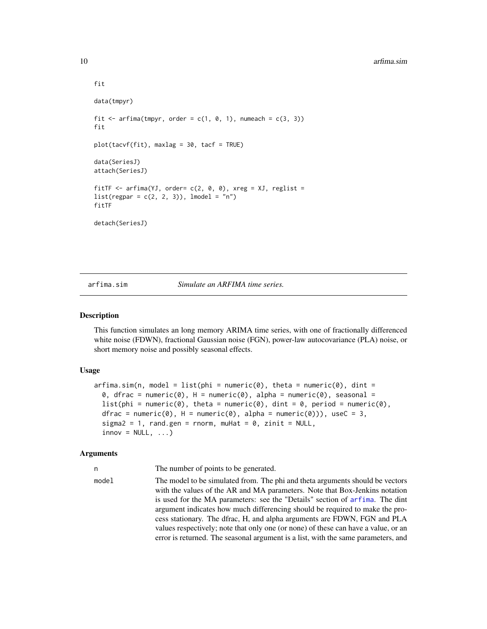```
fit
data(tmpyr)
fit \le - arfima(tmpyr, order = c(1, 0, 1), numeach = c(3, 3))
fit
plot(tacvf(fit), maxlag = 30, tacf = TRUE)
data(SeriesJ)
attach(SeriesJ)
fitTF \le - arfima(YJ, order= c(2, 0, 0), xreg = XJ, reglist =
list(respan = c(2, 2, 3)), Imodel = "n")fitTF
detach(SeriesJ)
```
<span id="page-9-1"></span>arfima.sim *Simulate an ARFIMA time series.*

#### **Description**

This function simulates an long memory ARIMA time series, with one of fractionally differenced white noise (FDWN), fractional Gaussian noise (FGN), power-law autocovariance (PLA) noise, or short memory noise and possibly seasonal effects.

#### Usage

```
\text{affima}.\text{sim}(n, \text{model} = \text{list}(\text{phi} = \text{numeric}(0), \text{theta} = \text{numeric}(0), \text{dint} = \text{update}(0)0, dfrac = numeric(0), H = numeric(0), alpha = numeric(0), seasonal =
  list(\text{phi} = \text{numeric}(0), \text{theta} = \text{numeric}(0), \text{dint} = 0, \text{period} = \text{numeric}(0),dfrac = numeric(0), H = numeric(0), alpha = numeric(0))), useC = 3,
  sigma2 = 1, rand.gen = rnorm, muHat = 0, zinit = NULL,
  innov = NULL, ...)
```
#### Arguments

n The number of points to be generated. model The model to be simulated from. The phi and theta arguments should be vectors with the values of the AR and MA parameters. Note that Box-Jenkins notation is used for the MA parameters: see the "Details" section of [arfima](#page-5-1). The dint argument indicates how much differencing should be required to make the process stationary. The dfrac, H, and alpha arguments are FDWN, FGN and PLA values respectively; note that only one (or none) of these can have a value, or an error is returned. The seasonal argument is a list, with the same parameters, and

<span id="page-9-0"></span>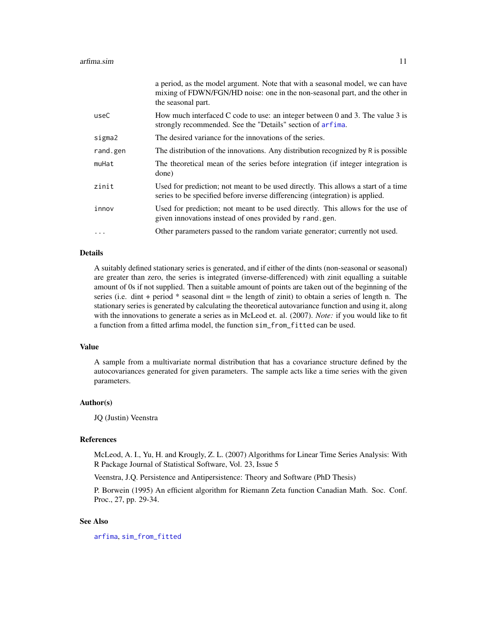<span id="page-10-0"></span>

|          | a period, as the model argument. Note that with a seasonal model, we can have<br>mixing of FDWN/FGN/HD noise: one in the non-seasonal part, and the other in<br>the seasonal part. |
|----------|------------------------------------------------------------------------------------------------------------------------------------------------------------------------------------|
| useC     | How much interfaced C code to use: an integer between 0 and 3. The value 3 is<br>strongly recommended. See the "Details" section of arfima.                                        |
| sigma2   | The desired variance for the innovations of the series.                                                                                                                            |
| rand.gen | The distribution of the innovations. Any distribution recognized by R is possible                                                                                                  |
| muHat    | The theoretical mean of the series before integration (if integer integration is<br>done)                                                                                          |
| zinit    | Used for prediction; not meant to be used directly. This allows a start of a time<br>series to be specified before inverse differencing (integration) is applied.                  |
| innov    | Used for prediction; not meant to be used directly. This allows for the use of<br>given innovations instead of ones provided by rand.gen.                                          |
| .        | Other parameters passed to the random variate generator; currently not used.                                                                                                       |
|          |                                                                                                                                                                                    |

#### Details

A suitably defined stationary series is generated, and if either of the dints (non-seasonal or seasonal) are greater than zero, the series is integrated (inverse-differenced) with zinit equalling a suitable amount of 0s if not supplied. Then a suitable amount of points are taken out of the beginning of the series (i.e. dint + period  $*$  seasonal dint = the length of zinit) to obtain a series of length n. The stationary series is generated by calculating the theoretical autovariance function and using it, along with the innovations to generate a series as in McLeod et. al. (2007). *Note:* if you would like to fit a function from a fitted arfima model, the function sim\_from\_fitted can be used.

#### Value

A sample from a multivariate normal distribution that has a covariance structure defined by the autocovariances generated for given parameters. The sample acts like a time series with the given parameters.

#### Author(s)

JQ (Justin) Veenstra

#### References

McLeod, A. I., Yu, H. and Krougly, Z. L. (2007) Algorithms for Linear Time Series Analysis: With R Package Journal of Statistical Software, Vol. 23, Issue 5

Veenstra, J.Q. Persistence and Antipersistence: Theory and Software (PhD Thesis)

P. Borwein (1995) An efficient algorithm for Riemann Zeta function Canadian Math. Soc. Conf. Proc., 27, pp. 29-34.

#### See Also

[arfima](#page-5-1), [sim\\_from\\_fitted](#page-36-1)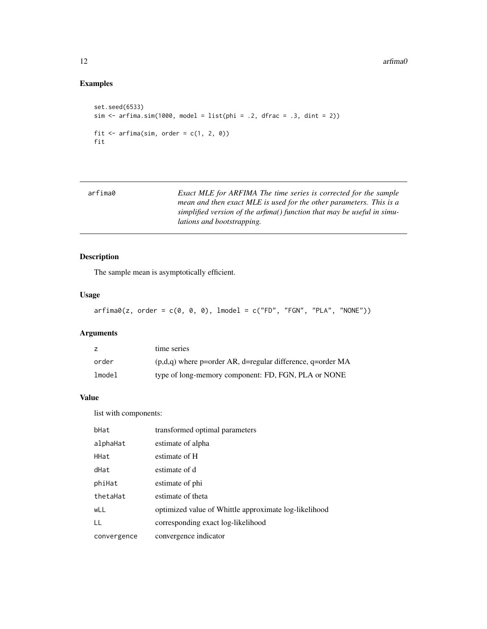# Examples

```
set.seed(6533)
sim <- arfima.sim(1000, model = list(phi = .2, dfrac = .3, dint = 2))
fit \leq arfima(sim, order = c(1, 2, 0))
fit
```
<span id="page-11-1"></span>arfima0 *Exact MLE for ARFIMA The time series is corrected for the sample mean and then exact MLE is used for the other parameters. This is a simplified version of the arfima() function that may be useful in simulations and bootstrapping.*

# Description

The sample mean is asymptotically efficient.

# Usage

```
\text{arfina0}(z, \text{ order } = c(0, 0, 0), \text{lmodel } = c("FD", "FGN", "PLA", "NONE"))
```
# Arguments

| z      | time series                                                  |
|--------|--------------------------------------------------------------|
| order  | $(p,d,q)$ where p=order AR, d=regular difference, q=order MA |
| lmodel | type of long-memory component: FD, FGN, PLA or NONE          |

#### Value

list with components:

| bHat        | transformed optimal parameters                        |
|-------------|-------------------------------------------------------|
| alphaHat    | estimate of alpha                                     |
| HHat        | estimate of H                                         |
| dHat        | estimate of d                                         |
| phiHat      | estimate of phi                                       |
| thetaHat    | estimate of theta                                     |
| wLL         | optimized value of Whittle approximate log-likelihood |
| LL          | corresponding exact log-likelihood                    |
| convergence | convergence indicator                                 |

<span id="page-11-0"></span>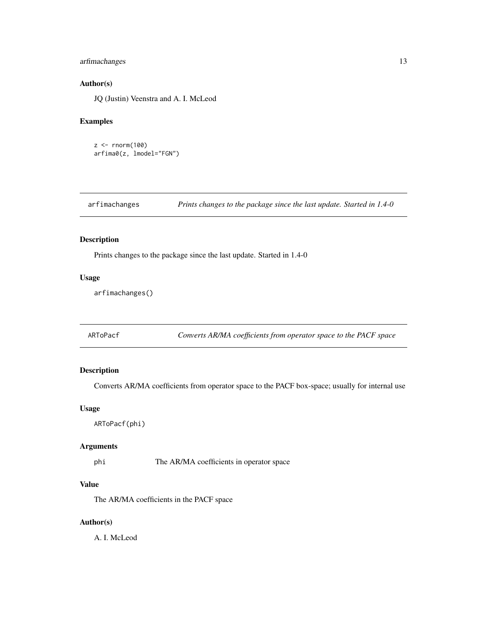# <span id="page-12-0"></span>arfimachanges 13

# Author(s)

JQ (Justin) Veenstra and A. I. McLeod

#### Examples

```
z < - rnorm(100)
arfima0(z, lmodel="FGN")
```
arfimachanges *Prints changes to the package since the last update. Started in 1.4-0*

# Description

Prints changes to the package since the last update. Started in 1.4-0

# Usage

arfimachanges()

ARToPacf *Converts AR/MA coefficients from operator space to the PACF space*

# Description

Converts AR/MA coefficients from operator space to the PACF box-space; usually for internal use

## Usage

ARToPacf(phi)

#### Arguments

phi The AR/MA coefficients in operator space

#### Value

The AR/MA coefficients in the PACF space

# Author(s)

A. I. McLeod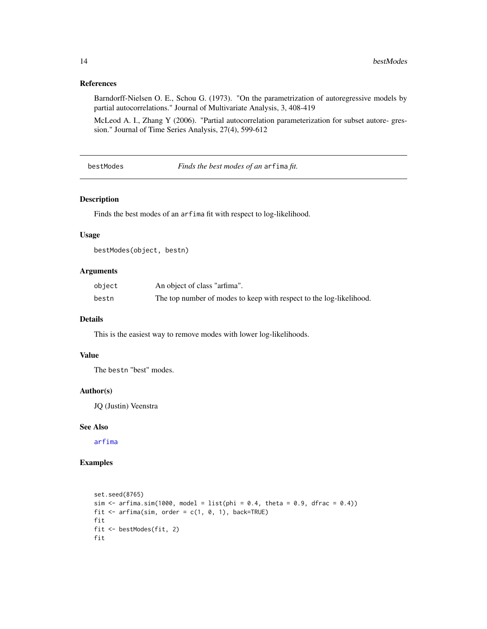# References

Barndorff-Nielsen O. E., Schou G. (1973). "On the parametrization of autoregressive models by partial autocorrelations." Journal of Multivariate Analysis, 3, 408-419

McLeod A. I., Zhang Y (2006). "Partial autocorrelation parameterization for subset autore- gression." Journal of Time Series Analysis, 27(4), 599-612

bestModes *Finds the best modes of an* arfima *fit.*

#### Description

Finds the best modes of an arfima fit with respect to log-likelihood.

#### Usage

```
bestModes(object, bestn)
```
# Arguments

| object | An object of class "arfima".                                        |
|--------|---------------------------------------------------------------------|
| bestn  | The top number of modes to keep with respect to the log-likelihood. |

# Details

This is the easiest way to remove modes with lower log-likelihoods.

#### Value

The bestn "best" modes.

#### Author(s)

JQ (Justin) Veenstra

#### See Also

[arfima](#page-5-1)

```
set.seed(8765)
sim \le - arfima.sim(1000, model = list(phi = 0.4, theta = 0.9, dfrac = 0.4))
fit \leq arfima(sim, order = c(1, 0, 1), back=TRUE)
fit
fit <- bestModes(fit, 2)
fit
```
<span id="page-13-0"></span>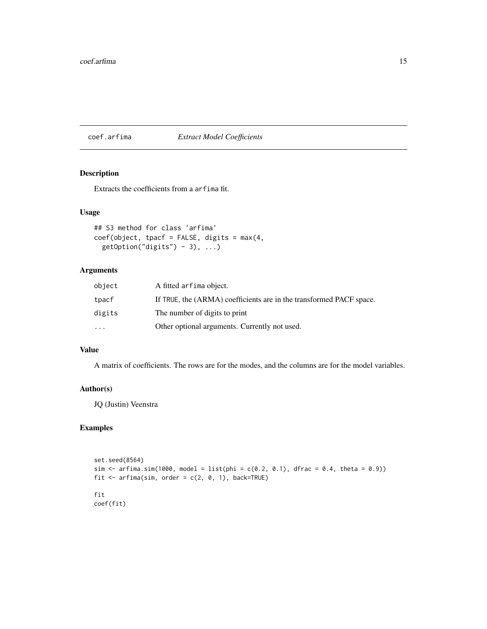# <span id="page-14-1"></span><span id="page-14-0"></span>coef.arfima *Extract Model Coefficients*

# Description

Extracts the coefficients from a arfima fit.

# Usage

```
## S3 method for class 'arfima'
coef(object, tpacf = FALSE, digits = max(4,
  getOption("digits") - 3), ...
```
# Arguments

| object  | A fitted arfima object.                                             |
|---------|---------------------------------------------------------------------|
| tpacf   | If TRUE, the (ARMA) coefficients are in the transformed PACF space. |
| digits  | The number of digits to print                                       |
| $\cdot$ | Other optional arguments. Currently not used.                       |

# Value

A matrix of coefficients. The rows are for the modes, and the columns are for the model variables.

## Author(s)

JQ (Justin) Veenstra

```
set.seed(8564)
sim \le - arfima.sim(1000, model = list(phi = c(0.2, 0.1), dfrac = 0.4, theta = 0.9))
fit \le arfima(sim, order = c(2, 0, 1), back=TRUE)
fit
coef(fit)
```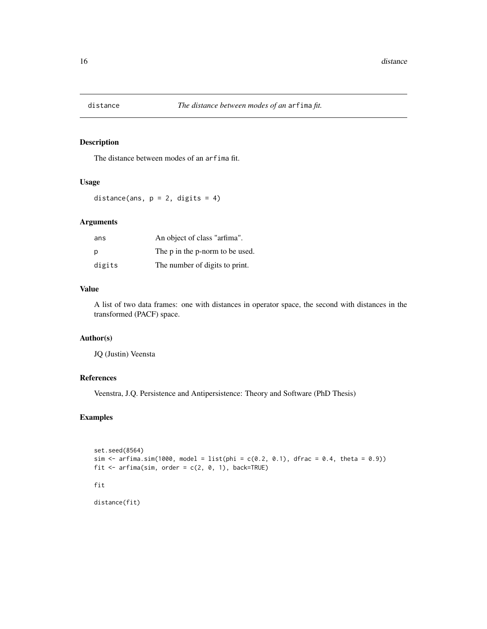<span id="page-15-1"></span><span id="page-15-0"></span>

# Description

The distance between modes of an arfima fit.

#### Usage

distance(ans,  $p = 2$ , digits = 4)

# Arguments

| ans    | An object of class "arfima".    |
|--------|---------------------------------|
| p      | The p in the p-norm to be used. |
| digits | The number of digits to print.  |

# Value

A list of two data frames: one with distances in operator space, the second with distances in the transformed (PACF) space.

# Author(s)

JQ (Justin) Veensta

# References

Veenstra, J.Q. Persistence and Antipersistence: Theory and Software (PhD Thesis)

```
set.seed(8564)
sim \le - arfima.sim(1000, model = list(phi = c(0.2, 0.1), dfrac = 0.4, theta = 0.9))
fit \le - arfima(sim, order = c(2, 0, 1), back=TRUE)
fit
distance(fit)
```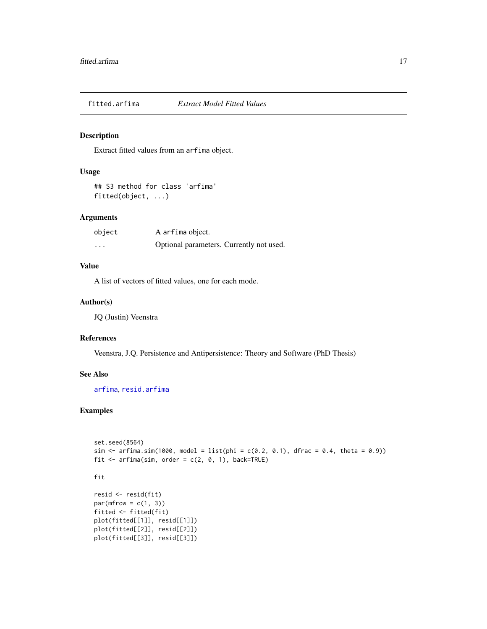<span id="page-16-1"></span><span id="page-16-0"></span>

# Description

Extract fitted values from an arfima object.

#### Usage

```
## S3 method for class 'arfima'
fitted(object, ...)
```
#### Arguments

| object   | A arfima object.                         |
|----------|------------------------------------------|
| $\cdots$ | Optional parameters. Currently not used. |

# Value

A list of vectors of fitted values, one for each mode.

# Author(s)

JQ (Justin) Veenstra

# References

Veenstra, J.Q. Persistence and Antipersistence: Theory and Software (PhD Thesis)

# See Also

[arfima](#page-5-1), [resid.arfima](#page-34-2)

# Examples

```
set.seed(8564)
sim \le - arfima.sim(1000, model = list(phi = c(0.2, 0.1), dfrac = 0.4, theta = 0.9))
fit \le arfima(sim, order = c(2, 0, 1), back=TRUE)
```
# fit

```
resid <- resid(fit)
par(mfrow = c(1, 3))fitted <- fitted(fit)
plot(fitted[[1]], resid[[1]])
plot(fitted[[2]], resid[[2]])
plot(fitted[[3]], resid[[3]])
```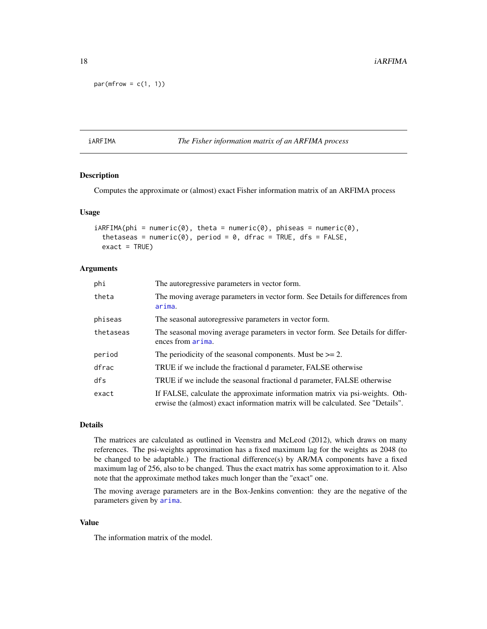<span id="page-17-0"></span> $par(mfrow = c(1, 1))$ 

# <span id="page-17-1"></span>iARFIMA *The Fisher information matrix of an ARFIMA process*

#### Description

Computes the approximate or (almost) exact Fisher information matrix of an ARFIMA process

#### Usage

```
iARFIMA(phi = numeric(0), theta = numeric(0), phiseas = numeric(0),
  thetaseas = numeric(0), period = 0, dfrac = TRUE, dfs = FALSE,
 exact = TRUE)
```
# Arguments

| phi       | The autoregressive parameters in vector form.                                                                                                                   |
|-----------|-----------------------------------------------------------------------------------------------------------------------------------------------------------------|
| theta     | The moving average parameters in vector form. See Details for differences from<br>arima.                                                                        |
| phiseas   | The seasonal autoregressive parameters in vector form.                                                                                                          |
| thetaseas | The seasonal moving average parameters in vector form. See Details for differ-<br>ences from arima.                                                             |
| period    | The periodicity of the seasonal components. Must be $\geq$ 2.                                                                                                   |
| dfrac     | TRUE if we include the fractional d parameter, FALSE otherwise                                                                                                  |
| dfs       | TRUE if we include the seasonal fractional d parameter, FALSE otherwise                                                                                         |
| exact     | If FALSE, calculate the approximate information matrix via psi-weights. Oth-<br>erwise the (almost) exact information matrix will be calculated. See "Details". |

#### Details

The matrices are calculated as outlined in Veenstra and McLeod (2012), which draws on many references. The psi-weights approximation has a fixed maximum lag for the weights as 2048 (to be changed to be adaptable.) The fractional difference(s) by AR/MA components have a fixed maximum lag of 256, also to be changed. Thus the exact matrix has some approximation to it. Also note that the approximate method takes much longer than the "exact" one.

The moving average parameters are in the Box-Jenkins convention: they are the negative of the parameters given by [arima](#page-0-0).

#### Value

The information matrix of the model.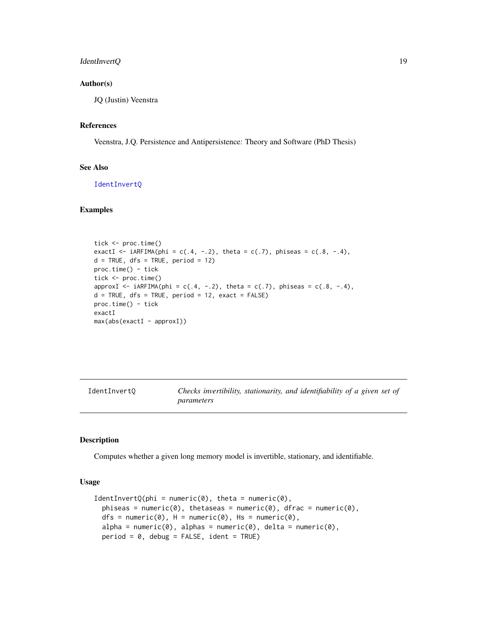#### <span id="page-18-0"></span>IdentInvertQ 19

#### Author(s)

JQ (Justin) Veenstra

#### References

Veenstra, J.Q. Persistence and Antipersistence: Theory and Software (PhD Thesis)

#### See Also

[IdentInvertQ](#page-18-1)

#### Examples

```
tick <- proc.time()
exactI <- iARFIMA(phi = c(.4, -.2), theta = c(.7), phiseas = c(.8, -.4),
d = TRUE, dfs = TRUE, period = 12)
proc.time() - tick
tick <- proc.time()
approxI \leq iARFIMA(phi = c(.4, -.2), theta = c(.7), phiseas = c(.8, -.4),
d = TRUE, dfs = TRUE, period = 12, exact = FALSE)
proc.time() - tick
exactI
max(abs(exactI - approxI))
```
<span id="page-18-1"></span>IdentInvertQ *Checks invertibility, stationarity, and identifiability of a given set of parameters*

#### Description

Computes whether a given long memory model is invertible, stationary, and identifiable.

#### Usage

```
IdentInvertQ(phi = numeric(0), theta = numeric(0),
 phiseas = numeric(0), thetaseas = numeric(0), dfrac = numeric(0),
 dfs = numeric(0), H = numeric(0), Hs = numeric(0),alpha = numeric(0), alpha = numeric(0), delta = numeric(0),period = 0, delay = FALSE, ident = TRUE)
```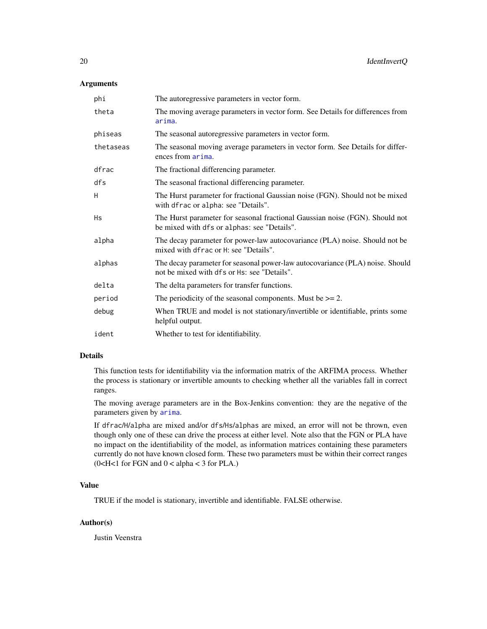# <span id="page-19-0"></span>Arguments

| phi       | The autoregressive parameters in vector form.                                                                                |
|-----------|------------------------------------------------------------------------------------------------------------------------------|
| theta     | The moving average parameters in vector form. See Details for differences from<br>arima.                                     |
| phiseas   | The seasonal autoregressive parameters in vector form.                                                                       |
| thetaseas | The seasonal moving average parameters in vector form. See Details for differ-<br>ences from arima.                          |
| dfrac     | The fractional differencing parameter.                                                                                       |
| dfs       | The seasonal fractional differencing parameter.                                                                              |
| Η         | The Hurst parameter for fractional Gaussian noise (FGN). Should not be mixed<br>with dfrac or alpha: see "Details".          |
| Hs        | The Hurst parameter for seasonal fractional Gaussian noise (FGN). Should not<br>be mixed with dfs or alphas: see "Details".  |
| alpha     | The decay parameter for power-law autocovariance (PLA) noise. Should not be<br>mixed with dfrac or H: see "Details".         |
| alphas    | The decay parameter for seasonal power-law autocovariance (PLA) noise. Should<br>not be mixed with dfs or Hs: see "Details". |
| delta     | The delta parameters for transfer functions.                                                                                 |
| period    | The periodicity of the seasonal components. Must be $\geq$ = 2.                                                              |
| debug     | When TRUE and model is not stationary/invertible or identifiable, prints some<br>helpful output.                             |
| ident     | Whether to test for identifiability.                                                                                         |
|           |                                                                                                                              |

#### Details

This function tests for identifiability via the information matrix of the ARFIMA process. Whether the process is stationary or invertible amounts to checking whether all the variables fall in correct ranges.

The moving average parameters are in the Box-Jenkins convention: they are the negative of the parameters given by [arima](#page-0-0).

If dfrac/H/alpha are mixed and/or dfs/Hs/alphas are mixed, an error will not be thrown, even though only one of these can drive the process at either level. Note also that the FGN or PLA have no impact on the identifiability of the model, as information matrices containing these parameters currently do not have known closed form. These two parameters must be within their correct ranges  $(0 < H < 1$  for FGN and  $0 < a$ lpha  $< 3$  for PLA.)

# Value

TRUE if the model is stationary, invertible and identifiable. FALSE otherwise.

# Author(s)

Justin Veenstra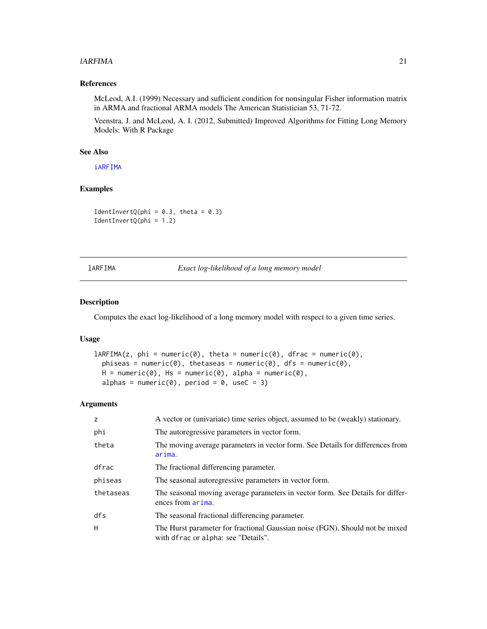#### <span id="page-20-0"></span> $IARFIMA$  21

# References

McLeod, A.I. (1999) Necessary and sufficient condition for nonsingular Fisher information matrix in ARMA and fractional ARMA models The American Statistician 53, 71-72.

Veenstra, J. and McLeod, A. I. (2012, Submitted) Improved Algorithms for Fitting Long Memory Models: With R Package

# See Also

[iARFIMA](#page-17-1)

#### Examples

IdentInvertQ(phi =  $0.3$ , theta =  $0.3$ )  $IdentInvertQ(phi = 1.2)$ 

<span id="page-20-1"></span>lARFIMA *Exact log-likelihood of a long memory model*

# Description

Computes the exact log-likelihood of a long memory model with respect to a given time series.

#### Usage

```
lARTMA(z, phi = numeric(0), theta = numeric(0), dfrac = numeric(0),phiseas = numeric(0), thetaseas = numeric(0), dfs = numeric(0),
 H = numeric(0), Hs = numeric(0), alpha = numeric(0),alphas = numeric(0), period = 0, useC = 3)
```
#### Arguments

| z         | A vector or (univariate) time series object, assumed to be (weakly) stationary.                                     |
|-----------|---------------------------------------------------------------------------------------------------------------------|
| phi       | The autoregressive parameters in vector form.                                                                       |
| theta     | The moving average parameters in vector form. See Details for differences from<br>arima.                            |
| dfrac     | The fractional differencing parameter.                                                                              |
| phiseas   | The seasonal autoregressive parameters in vector form.                                                              |
| thetaseas | The seasonal moving average parameters in vector form. See Details for differ-<br>ences from arima.                 |
| dfs       | The seasonal fractional differencing parameter.                                                                     |
| H         | The Hurst parameter for fractional Gaussian noise (FGN). Should not be mixed<br>with dfrac or alpha: see "Details". |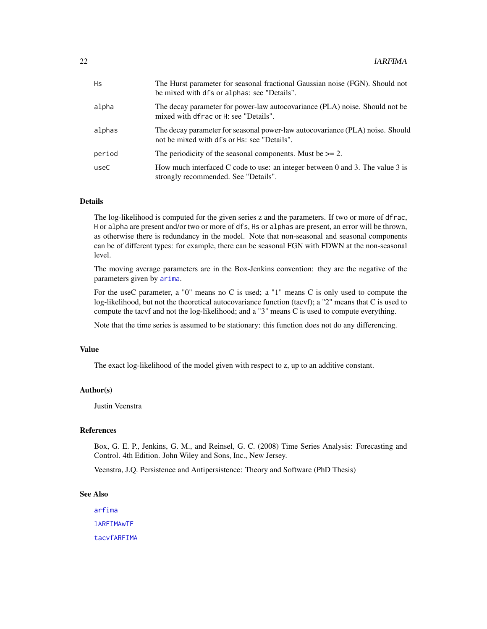<span id="page-21-0"></span>

| Hs.    | The Hurst parameter for seasonal fractional Gaussian noise (FGN). Should not<br>be mixed with dfs or alphas: see "Details".  |
|--------|------------------------------------------------------------------------------------------------------------------------------|
| alpha  | The decay parameter for power-law autocovariance (PLA) noise. Should not be<br>mixed with dfrac or H: see "Details".         |
| alphas | The decay parameter for seasonal power-law autocovariance (PLA) noise. Should<br>not be mixed with dfs or Hs: see "Details". |
| period | The periodicity of the seasonal components. Must be $\geq$ 2.                                                                |
| useC   | How much interfaced C code to use: an integer between 0 and 3. The value 3 is<br>strongly recommended. See "Details".        |

#### Details

The log-likelihood is computed for the given series z and the parameters. If two or more of dfrac, H or alpha are present and/or two or more of dfs, Hs or alphas are present, an error will be thrown, as otherwise there is redundancy in the model. Note that non-seasonal and seasonal components can be of different types: for example, there can be seasonal FGN with FDWN at the non-seasonal level.

The moving average parameters are in the Box-Jenkins convention: they are the negative of the parameters given by [arima](#page-0-0).

For the useC parameter, a "0" means no C is used; a "1" means C is only used to compute the log-likelihood, but not the theoretical autocovariance function (tacvf); a "2" means that C is used to compute the tacvf and not the log-likelihood; and a "3" means C is used to compute everything.

Note that the time series is assumed to be stationary: this function does not do any differencing.

#### Value

The exact log-likelihood of the model given with respect to z, up to an additive constant.

#### Author(s)

Justin Veenstra

#### References

Box, G. E. P., Jenkins, G. M., and Reinsel, G. C. (2008) Time Series Analysis: Forecasting and Control. 4th Edition. John Wiley and Sons, Inc., New Jersey.

Veenstra, J.Q. Persistence and Antipersistence: Theory and Software (PhD Thesis)

#### See Also

[arfima](#page-5-1) [lARFIMAwTF](#page-22-1) [tacvfARFIMA](#page-41-1)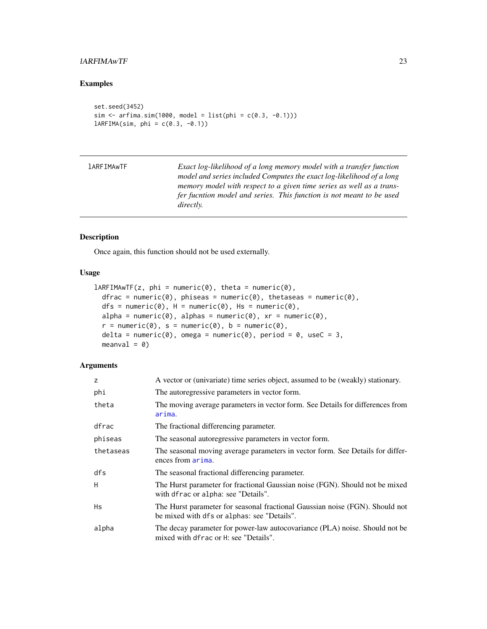# <span id="page-22-0"></span>lARFIMAwTF 23

# Examples

```
set.seed(3452)
sim < arfima.sim(1000, model = list(phi = c(0.3, -0.1)))lARTIMA(sim, phi = c(0.3, -0.1))
```
<span id="page-22-1"></span>

| lARFIMAwTF | Exact log-likelihood of a long memory model with a transfer function  |  |  |  |  |
|------------|-----------------------------------------------------------------------|--|--|--|--|
|            | model and series included Computes the exact log-likelihood of a long |  |  |  |  |
|            | memory model with respect to a given time series as well as a trans-  |  |  |  |  |
|            | fer fucntion model and series. This function is not meant to be used  |  |  |  |  |
|            | <i>directly.</i>                                                      |  |  |  |  |

# Description

Once again, this function should not be used externally.

#### Usage

```
lARTIMAWTF(z, phi = numeric(0), theta = numeric(0),dfrac = numeric(0), phiseas = numeric(0), thetaseas = numeric(0),
 dfs = numeric(0), H = numeric(0), Hs = numeric(0),alpha = numeric(0), alphas = numeric(0), xr = numeric(0),
  r = numeric(\emptyset), s = numeric(\emptyset), b = numeric(\emptyset),
  delta = numeric(0), omega = numeric(0), period = 0, useC = 3,
 meanval = 0)
```
# Arguments

| z         | A vector or (univariate) time series object, assumed to be (weakly) stationary.                                             |
|-----------|-----------------------------------------------------------------------------------------------------------------------------|
| phi       | The autoregressive parameters in vector form.                                                                               |
| theta     | The moving average parameters in vector form. See Details for differences from<br>arima.                                    |
| dfrac     | The fractional differencing parameter.                                                                                      |
| phiseas   | The seasonal autoregressive parameters in vector form.                                                                      |
| thetaseas | The seasonal moving average parameters in vector form. See Details for differ-<br>ences from arima.                         |
| dfs       | The seasonal fractional differencing parameter.                                                                             |
| H         | The Hurst parameter for fractional Gaussian noise (FGN). Should not be mixed<br>with dfrac or alpha: see "Details".         |
| Hs        | The Hurst parameter for seasonal fractional Gaussian noise (FGN). Should not<br>be mixed with dfs or alphas: see "Details". |
| alpha     | The decay parameter for power-law autocovariance (PLA) noise. Should not be<br>mixed with dfrac or H: see "Details".        |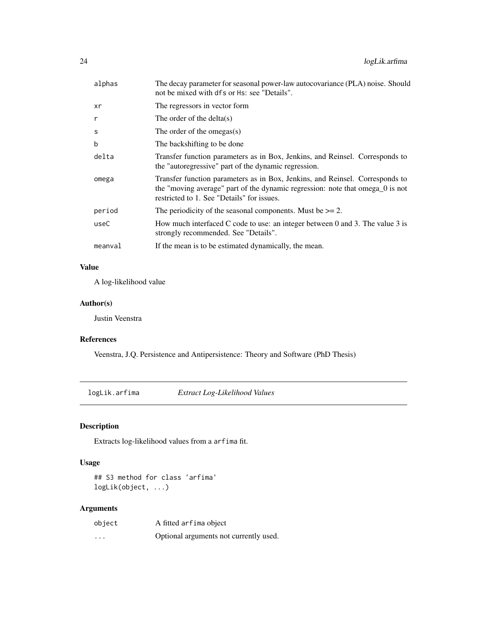<span id="page-23-0"></span>

| alphas  | The decay parameter for seasonal power-law autocovariance (PLA) noise. Should<br>not be mixed with dfs or Hs: see "Details".                                                                                |
|---------|-------------------------------------------------------------------------------------------------------------------------------------------------------------------------------------------------------------|
| xr      | The regressors in vector form                                                                                                                                                                               |
| r       | The order of the delta $(s)$                                                                                                                                                                                |
| S       | The order of the omegas $(s)$                                                                                                                                                                               |
| b       | The backshifting to be done                                                                                                                                                                                 |
| delta   | Transfer function parameters as in Box, Jenkins, and Reinsel. Corresponds to<br>the "autoregressive" part of the dynamic regression.                                                                        |
| omega   | Transfer function parameters as in Box, Jenkins, and Reinsel. Corresponds to<br>the "moving average" part of the dynamic regression: note that omega_0 is not<br>restricted to 1. See "Details" for issues. |
| period  | The periodicity of the seasonal components. Must be $\geq$ 2.                                                                                                                                               |
| useC    | How much interfaced C code to use: an integer between 0 and 3. The value 3 is<br>strongly recommended. See "Details".                                                                                       |
| meanval | If the mean is to be estimated dynamically, the mean.                                                                                                                                                       |
|         |                                                                                                                                                                                                             |

# Value

A log-likelihood value

# Author(s)

Justin Veenstra

### References

Veenstra, J.Q. Persistence and Antipersistence: Theory and Software (PhD Thesis)

<span id="page-23-1"></span>logLik.arfima *Extract Log-Likelihood Values*

# Description

Extracts log-likelihood values from a arfima fit.

# Usage

## S3 method for class 'arfima' logLik(object, ...)

# Arguments

| object   | A fitted arfima object                 |
|----------|----------------------------------------|
| $\cdots$ | Optional arguments not currently used. |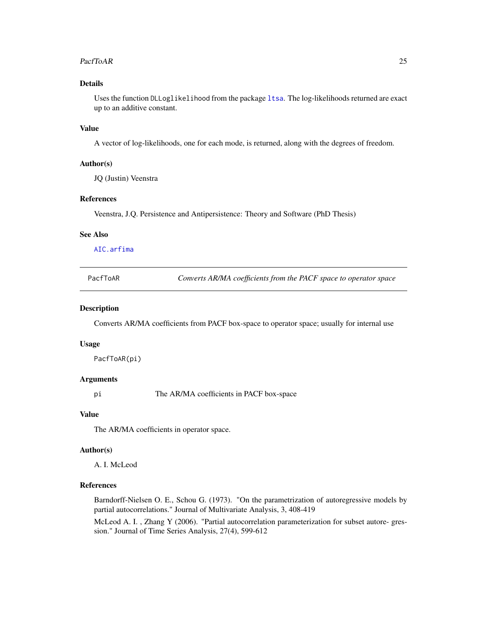#### <span id="page-24-0"></span> $PacfToAR$  25

# Details

Uses the function DLLoglikelihood from the package [ltsa](#page-0-0). The log-likelihoods returned are exact up to an additive constant.

#### Value

A vector of log-likelihoods, one for each mode, is returned, along with the degrees of freedom.

#### Author(s)

JQ (Justin) Veenstra

#### References

Veenstra, J.Q. Persistence and Antipersistence: Theory and Software (PhD Thesis)

#### See Also

[AIC.arfima](#page-4-1)

| PacfToAR |  | Converts AR/MA coefficients from the PACF space to operator space |
|----------|--|-------------------------------------------------------------------|
|----------|--|-------------------------------------------------------------------|

#### Description

Converts AR/MA coefficients from PACF box-space to operator space; usually for internal use

#### Usage

PacfToAR(pi)

#### Arguments

pi The AR/MA coefficients in PACF box-space

#### Value

The AR/MA coefficients in operator space.

#### Author(s)

A. I. McLeod

# References

Barndorff-Nielsen O. E., Schou G. (1973). "On the parametrization of autoregressive models by partial autocorrelations." Journal of Multivariate Analysis, 3, 408-419

McLeod A. I. , Zhang Y (2006). "Partial autocorrelation parameterization for subset autore- gression." Journal of Time Series Analysis, 27(4), 599-612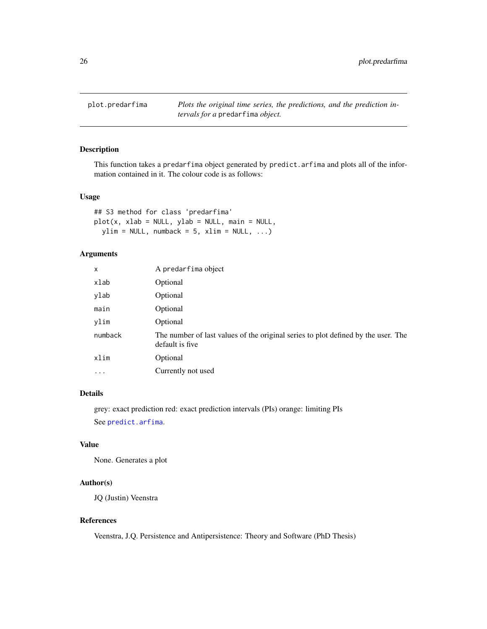<span id="page-25-1"></span><span id="page-25-0"></span>plot.predarfima *Plots the original time series, the predictions, and the prediction intervals for a* predarfima *object.*

# Description

This function takes a predarfima object generated by predict.arfima and plots all of the information contained in it. The colour code is as follows:

# Usage

|  |  |  |  | ## S3 method for class 'predarfima' |                                                |  |
|--|--|--|--|-------------------------------------|------------------------------------------------|--|
|  |  |  |  |                                     | plot(x, xlab = NULL, ylab = NULL, main = NULL, |  |
|  |  |  |  |                                     | $vlim = NULL$ , numback = 5, xlim = NULL, )    |  |

# Arguments

| $\times$  | A predarfima object                                                                                  |
|-----------|------------------------------------------------------------------------------------------------------|
| xlab      | Optional                                                                                             |
| ylab      | Optional                                                                                             |
| main      | Optional                                                                                             |
| ylim      | Optional                                                                                             |
| numback   | The number of last values of the original series to plot defined by the user. The<br>default is five |
| xlim      | Optional                                                                                             |
| $\ddotsc$ | Currently not used                                                                                   |

# Details

grey: exact prediction red: exact prediction intervals (PIs) orange: limiting PIs See [predict.arfima](#page-27-1).

#### Value

None. Generates a plot

# Author(s)

JQ (Justin) Veenstra

#### References

Veenstra, J.Q. Persistence and Antipersistence: Theory and Software (PhD Thesis)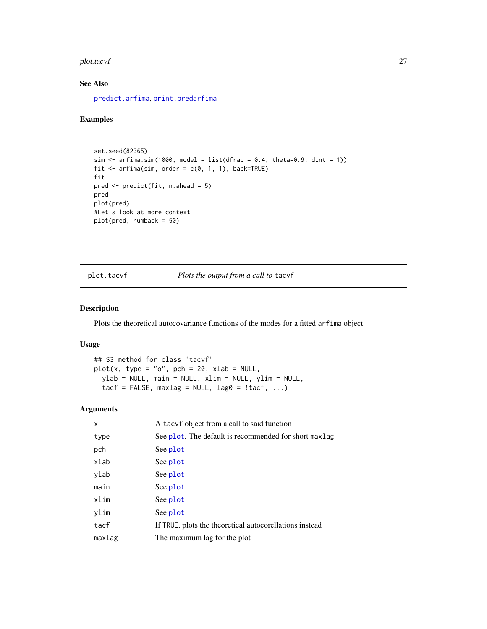#### <span id="page-26-0"></span>plot.tacvf 27

# See Also

[predict.arfima](#page-27-1), [print.predarfima](#page-30-1)

#### Examples

```
set.seed(82365)
sim \le arfima.sim(1000, model = list(dfrac = 0.4, theta=0.9, dint = 1))
fit \le - arfima(sim, order = c(0, 1, 1), back=TRUE)
fit
pred \leq predict(fit, n.ahead = 5)
pred
plot(pred)
#Let's look at more context
plot(pred, numback = 50)
```
<span id="page-26-1"></span>plot.tacvf *Plots the output from a call to* tacvf

#### Description

Plots the theoretical autocovariance functions of the modes for a fitted arfima object

# Usage

## S3 method for class 'tacvf'  $plot(x, type = "o", pch = 20, xlab = NULL,$ ylab = NULL, main = NULL, xlim = NULL, ylim = NULL,  $tacr = FALSE, maxlag = NULL, lag0 = !tacr, ...$ 

#### Arguments

| $\mathsf{x}$ | A tacyf object from a call to said function             |
|--------------|---------------------------------------------------------|
| type         | See plot. The default is recommended for short maxlag   |
| pch          | See plot                                                |
| xlab         | See plot                                                |
| ylab         | See plot                                                |
| main         | See plot                                                |
| xlim         | See plot                                                |
| ylim         | See plot                                                |
| tacf         | If TRUE, plots the theoretical autocorellations instead |
| maxlag       | The maximum lag for the plot                            |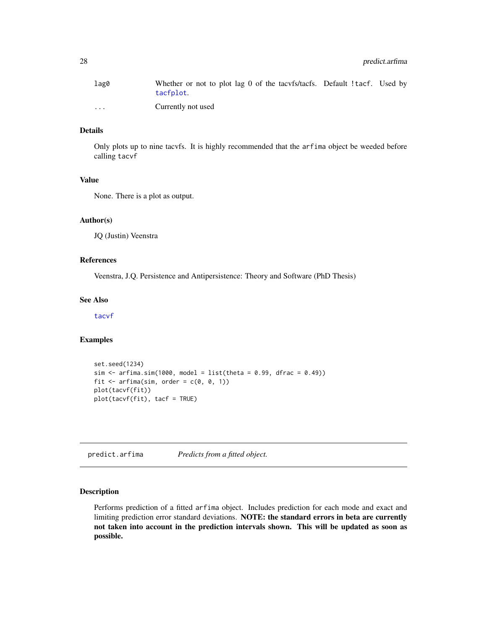<span id="page-27-0"></span>

| lag0                    | Whether or not to plot lag 0 of the tacyfs/tacfs. Default ! tacf. Used by<br>tacfplot. |  |
|-------------------------|----------------------------------------------------------------------------------------|--|
| $\cdot$ $\cdot$ $\cdot$ | Currently not used                                                                     |  |

# Details

Only plots up to nine tacvfs. It is highly recommended that the arfima object be weeded before calling tacvf

#### Value

None. There is a plot as output.

#### Author(s)

JQ (Justin) Veenstra

#### References

Veenstra, J.Q. Persistence and Antipersistence: Theory and Software (PhD Thesis)

#### See Also

[tacvf](#page-40-1)

# Examples

```
set.seed(1234)
sim \le arfima.sim(1000, model = list(theta = 0.99, dfrac = 0.49))
fit \leq arfima(sim, order = c(0, 0, 1))
plot(tacvf(fit))
plot(tacvf(fit), tacf = TRUE)
```
<span id="page-27-1"></span>predict.arfima *Predicts from a fitted object.*

# Description

Performs prediction of a fitted arfima object. Includes prediction for each mode and exact and limiting prediction error standard deviations. NOTE: the standard errors in beta are currently not taken into account in the prediction intervals shown. This will be updated as soon as possible.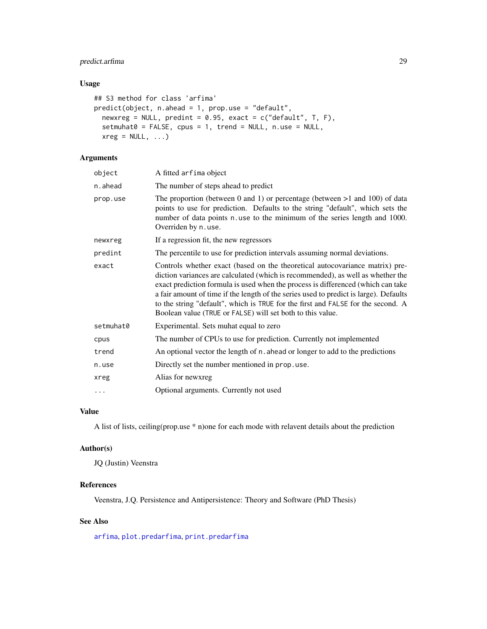# <span id="page-28-0"></span>predict.arfima 29

# Usage

```
## S3 method for class 'arfima'
predict(object, n.ahead = 1, prop.use = "default",
 newxreg = NULL, predict = 0.95, exact = c("default", T, F),setmuhat0 = FALSE, cpus = 1, trend = NULL, n.use = NULL,
 xreg = NULL, ...
```
# Arguments

| object    | A fitted arfima object                                                                                                                                                                                                                                                                                                                                                                                                                                                                         |
|-----------|------------------------------------------------------------------------------------------------------------------------------------------------------------------------------------------------------------------------------------------------------------------------------------------------------------------------------------------------------------------------------------------------------------------------------------------------------------------------------------------------|
| n.ahead   | The number of steps ahead to predict                                                                                                                                                                                                                                                                                                                                                                                                                                                           |
| prop.use  | The proportion (between 0 and 1) or percentage (between $>1$ and 100) of data<br>points to use for prediction. Defaults to the string "default", which sets the<br>number of data points n.use to the minimum of the series length and 1000.<br>Overriden by n.use.                                                                                                                                                                                                                            |
| newxreg   | If a regression fit, the new regressors                                                                                                                                                                                                                                                                                                                                                                                                                                                        |
| predint   | The percentile to use for prediction intervals assuming normal deviations.                                                                                                                                                                                                                                                                                                                                                                                                                     |
| exact     | Controls whether exact (based on the theoretical autocovariance matrix) pre-<br>diction variances are calculated (which is recommended), as well as whether the<br>exact prediction formula is used when the process is differenced (which can take<br>a fair amount of time if the length of the series used to predict is large). Defaults<br>to the string "default", which is TRUE for the first and FALSE for the second. A<br>Boolean value (TRUE or FALSE) will set both to this value. |
| setmuhat0 | Experimental. Sets muhat equal to zero                                                                                                                                                                                                                                                                                                                                                                                                                                                         |
| cpus      | The number of CPUs to use for prediction. Currently not implemented                                                                                                                                                                                                                                                                                                                                                                                                                            |
| trend     | An optional vector the length of n. ahead or longer to add to the predictions                                                                                                                                                                                                                                                                                                                                                                                                                  |
| n.use     | Directly set the number mentioned in prop.use.                                                                                                                                                                                                                                                                                                                                                                                                                                                 |
| xreg      | Alias for new xreg                                                                                                                                                                                                                                                                                                                                                                                                                                                                             |
| $\ddots$  | Optional arguments. Currently not used                                                                                                                                                                                                                                                                                                                                                                                                                                                         |

# Value

A list of lists, ceiling(prop.use \* n)one for each mode with relavent details about the prediction

#### Author(s)

JQ (Justin) Veenstra

# References

Veenstra, J.Q. Persistence and Antipersistence: Theory and Software (PhD Thesis)

# See Also

[arfima](#page-5-1), [plot.predarfima](#page-25-1), [print.predarfima](#page-30-1)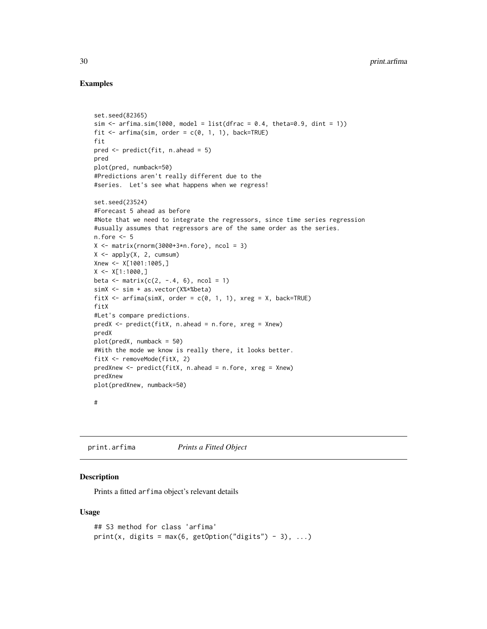### Examples

```
set.seed(82365)
sim \leq arfima.sim(1000, model = list(dfrac = 0.4, theta=0.9, dint = 1))
fit \le arfima(sim, order = c(0, 1, 1), back=TRUE)
fit
pred <- predict(fit, n.ahead = 5)
pred
plot(pred, numback=50)
#Predictions aren't really different due to the
#series. Let's see what happens when we regress!
set.seed(23524)
#Forecast 5 ahead as before
#Note that we need to integrate the regressors, since time series regression
#usually assumes that regressors are of the same order as the series.
n.fore <-5X \le - matrix(rnorm(3000+3*n.fore), ncol = 3)
X \leftarrow apply(X, 2, cumsum)Xnew <- X[1001:1005,]
X \leftarrow X[1:1000, ]beta \leq matrix(c(2, -.4, 6), ncol = 1)
simX <- sim + as.vector(X%*%beta)
fitX \le arfima(simX, order = c(0, 1, 1), xreg = X, back=TRUE)
fitX
#Let's compare predictions.
predX <- predict(fitX, n.ahead = n.fore, xreg = Xnew)
predX
plot(predX, numback = 50)
#With the mode we know is really there, it looks better.
fitX <- removeMode(fitX, 2)
predXnew <- predict(fitX, n.ahead = n.fore, xreg = Xnew)
predXnew
plot(predXnew, numback=50)
```
#

<span id="page-29-1"></span>print.arfima *Prints a Fitted Object*

#### Description

Prints a fitted arfima object's relevant details

#### Usage

```
## S3 method for class 'arfima'
print(x, digits = max(6, getOption("digits") - 3), ...)
```
<span id="page-29-0"></span>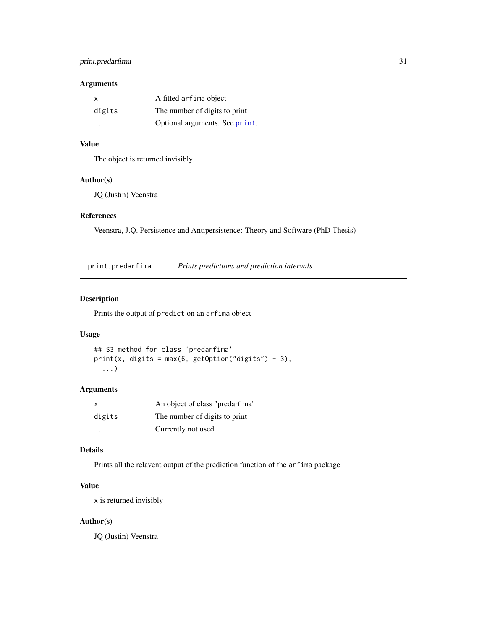# <span id="page-30-0"></span>print.predarfima 31

# Arguments

| х      | A fitted arfima object         |
|--------|--------------------------------|
| digits | The number of digits to print  |
| .      | Optional arguments. See print. |

# Value

The object is returned invisibly

# Author(s)

JQ (Justin) Veenstra

#### References

Veenstra, J.Q. Persistence and Antipersistence: Theory and Software (PhD Thesis)

<span id="page-30-1"></span>print.predarfima *Prints predictions and prediction intervals*

#### Description

Prints the output of predict on an arfima object

# Usage

```
## S3 method for class 'predarfima'
print(x, digits = max(6, getOption("digits") - 3),...)
```
# Arguments

| $\boldsymbol{\mathsf{x}}$ | An object of class "predarfima" |
|---------------------------|---------------------------------|
| digits                    | The number of digits to print   |
| $\cdot$ $\cdot$ $\cdot$   | Currently not used              |

# Details

Prints all the relavent output of the prediction function of the arfima package

# Value

x is returned invisibly

#### Author(s)

JQ (Justin) Veenstra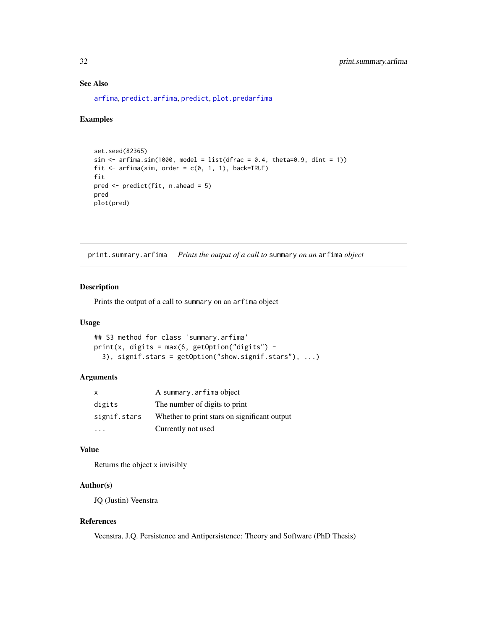# See Also

[arfima](#page-5-1), [predict.arfima](#page-27-1), [predict](#page-0-0), [plot.predarfima](#page-25-1)

#### Examples

```
set.seed(82365)
sim \le arfima.sim(1000, model = list(dfrac = 0.4, theta=0.9, dint = 1))
fit \leq arfima(sim, order = c(0, 1, 1), back=TRUE)
fit
pred <- predict(fit, n.ahead = 5)
pred
plot(pred)
```
print.summary.arfima *Prints the output of a call to* summary *on an* arfima *object*

#### Description

Prints the output of a call to summary on an arfima object

#### Usage

```
## S3 method for class 'summary.arfima'
print(x, digits = max(6, getOption("digits") -3), signif.stars = getOption("show.signif.stars"), ...)
```
#### Arguments

| $\mathsf{x}$ | A summary.arfima object                      |
|--------------|----------------------------------------------|
| digits       | The number of digits to print                |
| signif.stars | Whether to print stars on significant output |
|              | Currently not used                           |

# Value

Returns the object x invisibly

#### Author(s)

JQ (Justin) Veenstra

# References

Veenstra, J.Q. Persistence and Antipersistence: Theory and Software (PhD Thesis)

<span id="page-31-0"></span>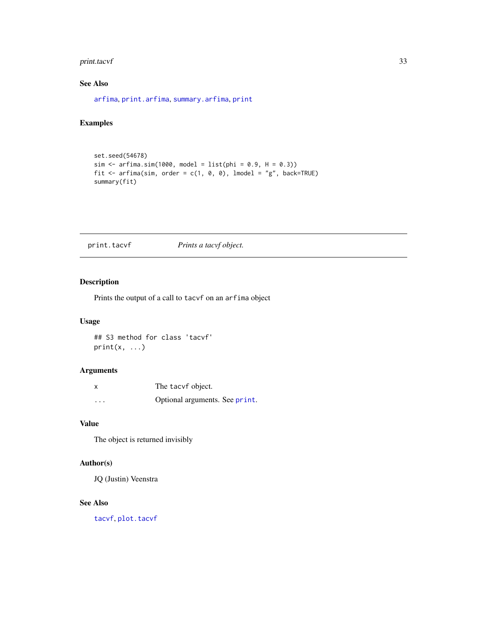# <span id="page-32-0"></span>print.tacvf 33

# See Also

[arfima](#page-5-1), [print.arfima](#page-29-1), [summary.arfima](#page-38-1), [print](#page-0-0)

# Examples

```
set.seed(54678)
sim <- arfima.sim(1000, model = list(phi = 0.9, H = 0.3))
fit \leq arfima(sim, order = c(1, 0, 0), lmodel = "g", back=TRUE)
summary(fit)
```
<span id="page-32-1"></span>print.tacvf *Prints a tacvf object.*

# Description

Prints the output of a call to tacvf on an arfima object

# Usage

## S3 method for class 'tacvf'  $print(x, \ldots)$ 

# Arguments

| X        | The tacyf object.              |
|----------|--------------------------------|
| $\cdots$ | Optional arguments. See print. |

# Value

The object is returned invisibly

# Author(s)

JQ (Justin) Veenstra

# See Also

[tacvf](#page-40-1), [plot.tacvf](#page-26-1)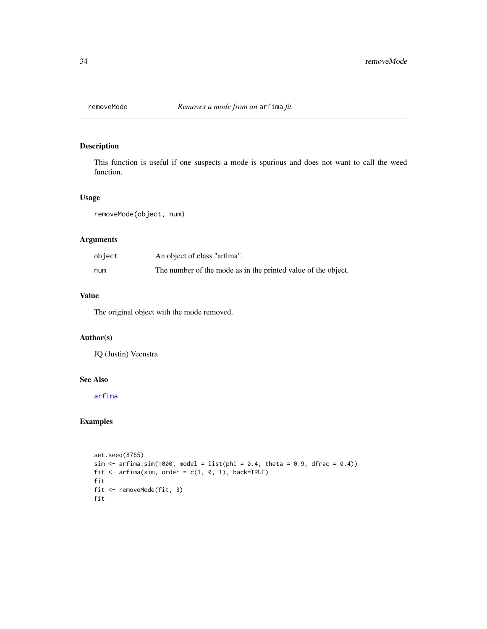<span id="page-33-1"></span><span id="page-33-0"></span>

# Description

This function is useful if one suspects a mode is spurious and does not want to call the weed function.

#### Usage

removeMode(object, num)

#### Arguments

| object | An object of class "arfima".                                  |
|--------|---------------------------------------------------------------|
| num    | The number of the mode as in the printed value of the object. |

#### Value

The original object with the mode removed.

# Author(s)

JQ (Justin) Veenstra

#### See Also

[arfima](#page-5-1)

```
set.seed(8765)
sim \le - arfima.sim(1000, model = list(phi = 0.4, theta = 0.9, dfrac = 0.4))
fit \le - arfima(sim, order = c(1, 0, 1), back=TRUE)
fit
fit <- removeMode(fit, 3)
fit
```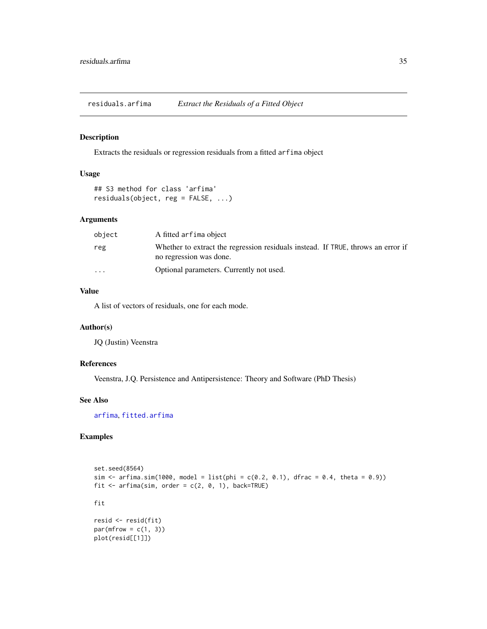<span id="page-34-1"></span><span id="page-34-0"></span>residuals.arfima *Extract the Residuals of a Fitted Object*

# <span id="page-34-2"></span>Description

Extracts the residuals or regression residuals from a fitted arfima object

# Usage

```
## S3 method for class 'arfima'
residuals(object, reg = FALSE, ...)
```
#### Arguments

| object                  | A fitted arfima object                                                                                      |
|-------------------------|-------------------------------------------------------------------------------------------------------------|
| reg                     | Whether to extract the regression residuals instead. If TRUE, throws an error if<br>no regression was done. |
| $\cdot$ $\cdot$ $\cdot$ | Optional parameters. Currently not used.                                                                    |

#### Value

A list of vectors of residuals, one for each mode.

# Author(s)

JQ (Justin) Veenstra

#### References

Veenstra, J.Q. Persistence and Antipersistence: Theory and Software (PhD Thesis)

# See Also

[arfima](#page-5-1), [fitted.arfima](#page-16-1)

```
set.seed(8564)
sim \le - arfima.sim(1000, model = list(phi = c(0.2, 0.1), dfrac = 0.4, theta = 0.9))
fit \leq arfima(sim, order = c(2, 0, 1), back=TRUE)
fit
resid <- resid(fit)
par(mfrow = c(1, 3))plot(resid[[1]])
```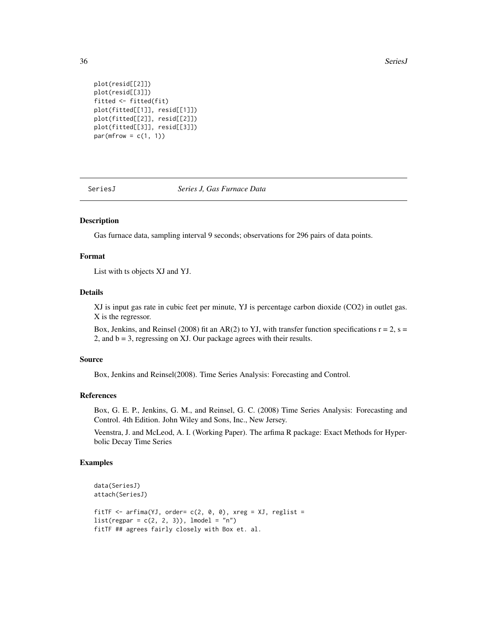<span id="page-35-0"></span>36 SeriesJ

```
plot(resid[[2]])
plot(resid[[3]])
fitted <- fitted(fit)
plot(fitted[[1]], resid[[1]])
plot(fitted[[2]], resid[[2]])
plot(fitted[[3]], resid[[3]])
par(mfrow = c(1, 1))
```
<span id="page-35-1"></span>SeriesJ *Series J, Gas Furnace Data*

### Description

Gas furnace data, sampling interval 9 seconds; observations for 296 pairs of data points.

# Format

List with ts objects XJ and YJ.

# Details

XJ is input gas rate in cubic feet per minute, YJ is percentage carbon dioxide (CO2) in outlet gas. X is the regressor.

Box, Jenkins, and Reinsel (2008) fit an AR(2) to YJ, with transfer function specifications  $r = 2$ , s = 2, and  $b = 3$ , regressing on XJ. Our package agrees with their results.

# Source

Box, Jenkins and Reinsel(2008). Time Series Analysis: Forecasting and Control.

#### References

Box, G. E. P., Jenkins, G. M., and Reinsel, G. C. (2008) Time Series Analysis: Forecasting and Control. 4th Edition. John Wiley and Sons, Inc., New Jersey.

Veenstra, J. and McLeod, A. I. (Working Paper). The arfima R package: Exact Methods for Hyperbolic Decay Time Series

```
data(SeriesJ)
attach(SeriesJ)
fitTF \le - arfima(YJ, order= c(2, 0, 0), xreg = XJ, reglist =
list(respan = c(2, 2, 3)), lmodel = "n")fitTF ## agrees fairly closely with Box et. al.
```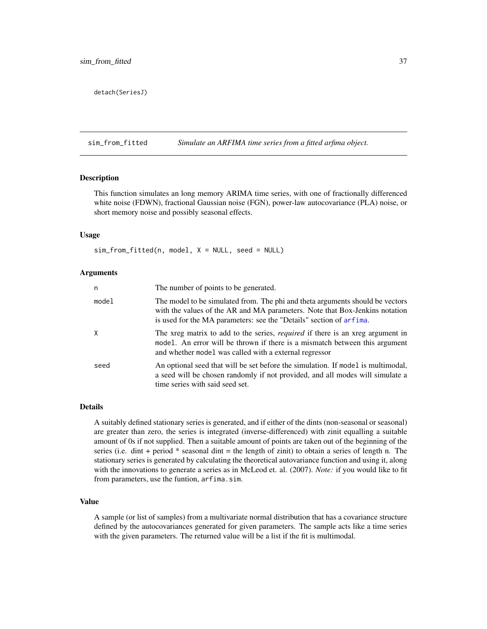```
detach(SeriesJ)
```
<span id="page-36-1"></span>sim\_from\_fitted *Simulate an ARFIMA time series from a fitted arfima object.*

#### Description

This function simulates an long memory ARIMA time series, with one of fractionally differenced white noise (FDWN), fractional Gaussian noise (FGN), power-law autocovariance (PLA) noise, or short memory noise and possibly seasonal effects.

#### Usage

 $sim_from_fitted(n, model, X = NULL, seed = NULL)$ 

# Arguments

| n     | The number of points to be generated.                                                                                                                                                                                               |
|-------|-------------------------------------------------------------------------------------------------------------------------------------------------------------------------------------------------------------------------------------|
| model | The model to be simulated from. The phi and theta arguments should be vectors<br>with the values of the AR and MA parameters. Note that Box-Jenkins notation<br>is used for the MA parameters: see the "Details" section of arfima. |
| X     | The xreg matrix to add to the series, <i>required</i> if there is an xreg argument in<br>model. An error will be thrown if there is a mismatch between this argument<br>and whether model was called with a external regressor      |
| seed  | An optional seed that will be set before the simulation. If model is multimodal,<br>a seed will be chosen randomly if not provided, and all modes will simulate a<br>time series with said seed set.                                |

#### Details

A suitably defined stationary series is generated, and if either of the dints (non-seasonal or seasonal) are greater than zero, the series is integrated (inverse-differenced) with zinit equalling a suitable amount of 0s if not supplied. Then a suitable amount of points are taken out of the beginning of the series (i.e. dint + period  $*$  seasonal dint = the length of zinit) to obtain a series of length n. The stationary series is generated by calculating the theoretical autovariance function and using it, along with the innovations to generate a series as in McLeod et. al. (2007). *Note:* if you would like to fit from parameters, use the funtion, arfima.sim.

# Value

A sample (or list of samples) from a multivariate normal distribution that has a covariance structure defined by the autocovariances generated for given parameters. The sample acts like a time series with the given parameters. The returned value will be a list if the fit is multimodal.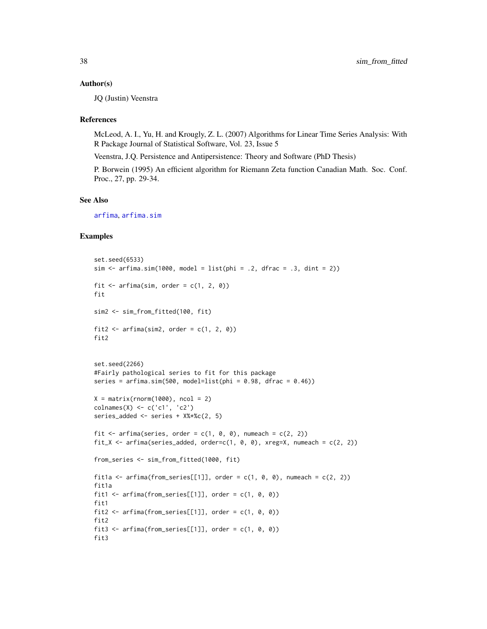#### <span id="page-37-0"></span>Author(s)

JQ (Justin) Veenstra

#### References

McLeod, A. I., Yu, H. and Krougly, Z. L. (2007) Algorithms for Linear Time Series Analysis: With R Package Journal of Statistical Software, Vol. 23, Issue 5

Veenstra, J.Q. Persistence and Antipersistence: Theory and Software (PhD Thesis)

P. Borwein (1995) An efficient algorithm for Riemann Zeta function Canadian Math. Soc. Conf. Proc., 27, pp. 29-34.

#### See Also

[arfima](#page-5-1), [arfima.sim](#page-9-1)

```
set.seed(6533)
sim < arfina.sim(1000, model = list(phi = .2, dfrac = .3, dint = 2))fit \leq arfima(sim, order = c(1, 2, 0))
fit
sim2 <- sim_from_fitted(100, fit)
fit2 \leftarrow arfima(sim2, order = c(1, 2, 0))
fit2
set.seed(2266)
#Fairly pathological series to fit for this package
series = \arfina.sim(500, model=list(phi = 0.98, dfrac = 0.46))X = matrix(rnorm(1000), ncol = 2)\text{columns}(X) \leftarrow \text{c('c1', 'c2')}series_added <- series + X%*%c(2, 5)
fit \leq arfima(series, order = c(1, 0, 0), numeach = c(2, 2))
fit_X \le - arfima(series_added, order=c(1, 0, 0), xreg=X, numeach = c(2, 2))
from_series <- sim_from_fitted(1000, fit)
fit1a \le - arfima(from_series[[1]], order = c(1, 0, 0), numeach = c(2, 2))
fit1a
fit1 <- arfima(from_series[[1]], order = c(1, 0, 0))
fit1
fit2 \leq arfima(from_series[[1]], order = c(1, 0, 0))
fit2
fit3 \leq arfima(from_series[[1]], order = c(1, 0, 0))
fit3
```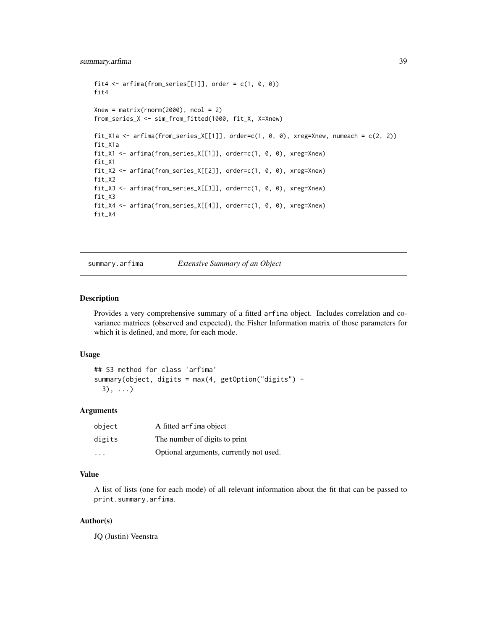# <span id="page-38-0"></span>summary.arfima 39

```
fit4 \leftarrow arfima(from_series[[1]], order = c(1, 0, 0))
fit4
Xnew = matrix(rnorm(2000), ncol = 2)
from_series_X <- sim_from_fitted(1000, fit_X, X=Xnew)
fit_X1a <- arfima(from_series_X[[1]], order=c(1, 0, 0), xreg=Xnew, numeach = c(2, 2))
fit_X1a
fit_X1 <- arfima(from_series_X[[1]], order=c(1, 0, 0), xreg=Xnew)
fit_X1
fit_X2 <- arfima(from_series_X[[2]], order=c(1, 0, 0), xreg=Xnew)
fit_X2
fit_X3 <- arfima(from_series_X[[3]], order=c(1, 0, 0), xreg=Xnew)
fit_X3
fit_X4 <- arfima(from_series_X[[4]], order=c(1, 0, 0), xreg=Xnew)
fit_X4
```
<span id="page-38-1"></span>summary.arfima *Extensive Summary of an Object*

#### Description

Provides a very comprehensive summary of a fitted arfima object. Includes correlation and covariance matrices (observed and expected), the Fisher Information matrix of those parameters for which it is defined, and more, for each mode.

#### Usage

```
## S3 method for class 'arfima'
summary(object, digits = max(4, getOption("digits") -
  3), ...)
```
#### Arguments

| object                  | A fitted arfima object                  |
|-------------------------|-----------------------------------------|
| digits                  | The number of digits to print           |
| $\cdot$ $\cdot$ $\cdot$ | Optional arguments, currently not used. |

# Value

A list of lists (one for each mode) of all relevant information about the fit that can be passed to print.summary.arfima.

#### Author(s)

JQ (Justin) Veenstra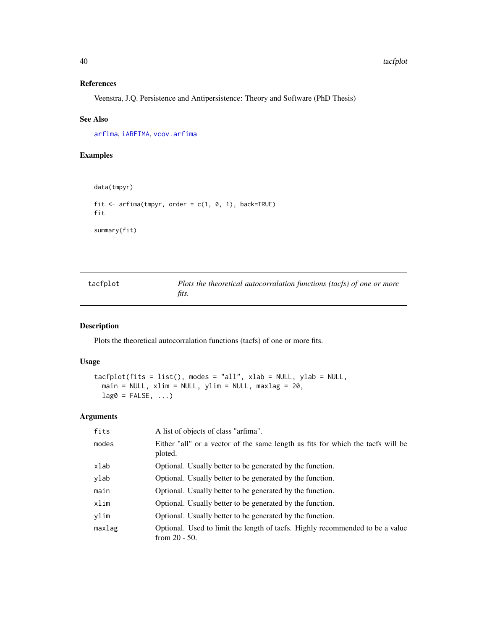#### <span id="page-39-0"></span>References

Veenstra, J.Q. Persistence and Antipersistence: Theory and Software (PhD Thesis)

#### See Also

[arfima](#page-5-1), [iARFIMA](#page-17-1), [vcov.arfima](#page-45-1)

#### Examples

```
data(tmpyr)
fit \le arfima(tmpyr, order = c(1, 0, 1), back=TRUE)
fit
summary(fit)
```
<span id="page-39-1"></span>

| tacfplot | Plots the theoretical autocorralation functions (tacfs) of one or more |
|----------|------------------------------------------------------------------------|
|          | fits.                                                                  |

# Description

Plots the theoretical autocorralation functions (tacfs) of one or more fits.

#### Usage

```
tacfplot(fits = list(), modes = "all", xlab = NULL, ylab = NULL,
 main = NULL, xlim = NULL, ylim = NULL, maxlag = 20,
 lag0 = FALSE, ...)
```
#### Arguments

| fits   | A list of objects of class "arfima".                                                              |
|--------|---------------------------------------------------------------------------------------------------|
| modes  | Either "all" or a vector of the same length as fits for which the tacfs will be<br>ploted.        |
| xlab   | Optional. Usually better to be generated by the function.                                         |
| ylab   | Optional. Usually better to be generated by the function.                                         |
| main   | Optional. Usually better to be generated by the function.                                         |
| xlim   | Optional. Usually better to be generated by the function.                                         |
| ylim   | Optional. Usually better to be generated by the function.                                         |
| maxlag | Optional. Used to limit the length of tacfs. Highly recommended to be a value<br>from $20 - 50$ . |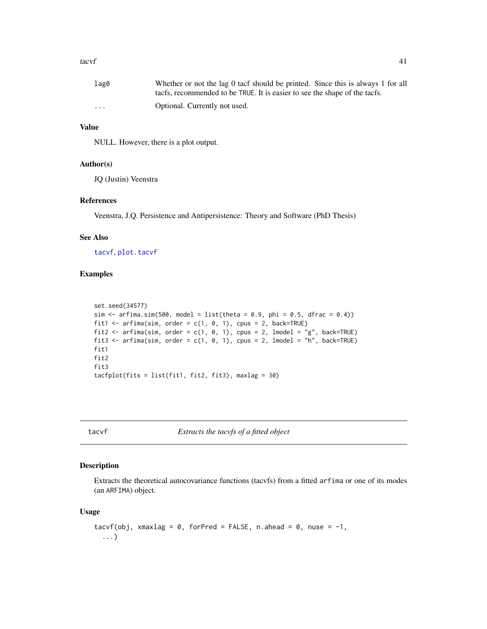#### <span id="page-40-0"></span> $t$ acvf  $\frac{41}{2}$

| lag0                    | Whether or not the lag 0 tacf should be printed. Since this is always 1 for all |
|-------------------------|---------------------------------------------------------------------------------|
|                         | tacfs, recommended to be TRUE. It is easier to see the shape of the tacfs.      |
| $\cdot$ $\cdot$ $\cdot$ | Optional. Currently not used.                                                   |

# Value

NULL. However, there is a plot output.

#### Author(s)

JQ (Justin) Veenstra

# References

Veenstra, J.Q. Persistence and Antipersistence: Theory and Software (PhD Thesis)

#### See Also

[tacvf](#page-40-1), [plot.tacvf](#page-26-1)

#### Examples

```
set.seed(34577)
sim \le - arfima.sim(500, model = list(theta = 0.9, phi = 0.5, dfrac = 0.4))
fit1 <- \arctan( \sin \theta, \text{ order } = c(1, 0, 1), \text{ cups } = 2, \text{ back}=\text{TRUE})fit2 <- arfima(sim, order = c(1, 0, 1), cpus = 2, lmodel = "g", back=TRUE)
fit3 <- arfima(sim, order = c(1, 0, 1), cpus = 2, lmodel = "h", back=TRUE)
fit1
fit2
fit3
tacfplot(fits = list(fit1, fit2, fit3), maxlag = 30)
```
<span id="page-40-1"></span>

tacvf *Extracts the tacvfs of a fitted object*

#### Description

Extracts the theoretical autocovariance functions (tacvfs) from a fitted arfima or one of its modes (an ARFIMA) object.

# Usage

```
tacvf(obj, xmaxlag = 0, forPred = FALSE, n.ahead = 0, nuse = -1,
  ...)
```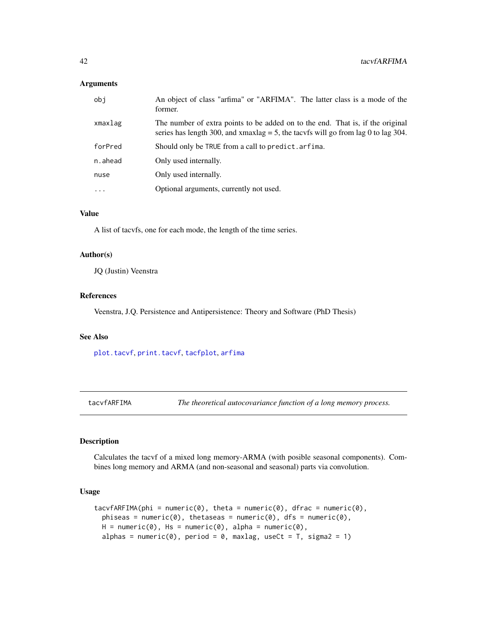#### <span id="page-41-0"></span>Arguments

| obi     | An object of class "arfima" or "ARFIMA". The latter class is a mode of the<br>former.                                                                                |
|---------|----------------------------------------------------------------------------------------------------------------------------------------------------------------------|
| xmaxlag | The number of extra points to be added on to the end. That is, if the original<br>series has length 300, and xmaxlag = 5, the tacy is will go from lag 0 to lag 304. |
| forPred | Should only be TRUE from a call to predict. arfima.                                                                                                                  |
| n.ahead | Only used internally.                                                                                                                                                |
| nuse    | Only used internally.                                                                                                                                                |
| .       | Optional arguments, currently not used.                                                                                                                              |

# Value

A list of tacvfs, one for each mode, the length of the time series.

# Author(s)

JQ (Justin) Veenstra

#### References

Veenstra, J.Q. Persistence and Antipersistence: Theory and Software (PhD Thesis)

# See Also

[plot.tacvf](#page-26-1), [print.tacvf](#page-32-1), [tacfplot](#page-39-1), [arfima](#page-5-1)

<span id="page-41-1"></span>tacvfARFIMA *The theoretical autocovariance function of a long memory process.*

# Description

Calculates the tacvf of a mixed long memory-ARMA (with posible seasonal components). Combines long memory and ARMA (and non-seasonal and seasonal) parts via convolution.

#### Usage

```
tacvfARFIMA(phi = numeric(0), theta = numeric(0), dfrac = numeric(0),
 phiseas = numeric(0), thetaseas = numeric(0), dfs = numeric(0),
 H = numeric(0), Hs = numeric(0), alpha = numeric(0),
 alphas = numeric(0), period = 0, maxlag, useCt = T, sigma2 = 1)
```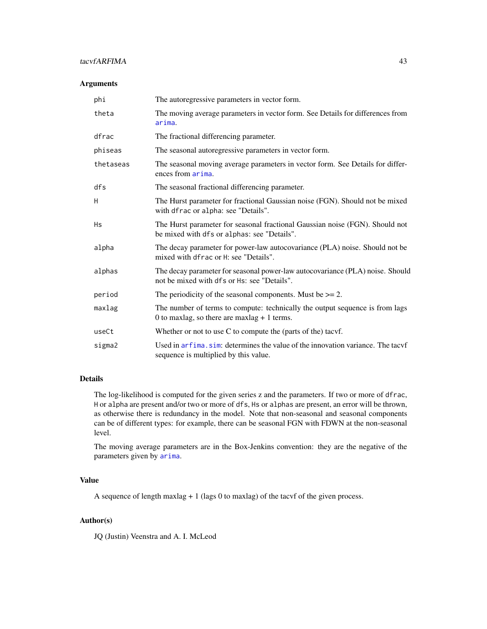# <span id="page-42-0"></span>tacvfARFIMA 43

#### Arguments

| phi       | The autoregressive parameters in vector form.                                                                                |
|-----------|------------------------------------------------------------------------------------------------------------------------------|
| theta     | The moving average parameters in vector form. See Details for differences from<br>arima.                                     |
| dfrac     | The fractional differencing parameter.                                                                                       |
| phiseas   | The seasonal autoregressive parameters in vector form.                                                                       |
| thetaseas | The seasonal moving average parameters in vector form. See Details for differ-<br>ences from arima.                          |
| dfs       | The seasonal fractional differencing parameter.                                                                              |
| H         | The Hurst parameter for fractional Gaussian noise (FGN). Should not be mixed<br>with dfrac or alpha: see "Details".          |
| Hs        | The Hurst parameter for seasonal fractional Gaussian noise (FGN). Should not<br>be mixed with dfs or alphas: see "Details".  |
| alpha     | The decay parameter for power-law autocovariance (PLA) noise. Should not be<br>mixed with dfrac or H: see "Details".         |
| alphas    | The decay parameter for seasonal power-law autocovariance (PLA) noise. Should<br>not be mixed with dfs or Hs: see "Details". |
| period    | The periodicity of the seasonal components. Must be $\geq$ = 2.                                                              |
| maxlag    | The number of terms to compute: technically the output sequence is from lags<br>0 to maxlag, so there are maxlag $+1$ terms. |
| useCt     | Whether or not to use $C$ to compute the (parts of the) tacvf.                                                               |
| sigma2    | Used in arfima, sim: determines the value of the innovation variance. The tacyf<br>sequence is multiplied by this value.     |

# Details

The log-likelihood is computed for the given series z and the parameters. If two or more of dfrac, H or alpha are present and/or two or more of dfs, Hs or alphas are present, an error will be thrown, as otherwise there is redundancy in the model. Note that non-seasonal and seasonal components can be of different types: for example, there can be seasonal FGN with FDWN at the non-seasonal level.

The moving average parameters are in the Box-Jenkins convention: they are the negative of the parameters given by [arima](#page-0-0).

# Value

A sequence of length maxlag + 1 (lags 0 to maxlag) of the tacvf of the given process.

# Author(s)

JQ (Justin) Veenstra and A. I. McLeod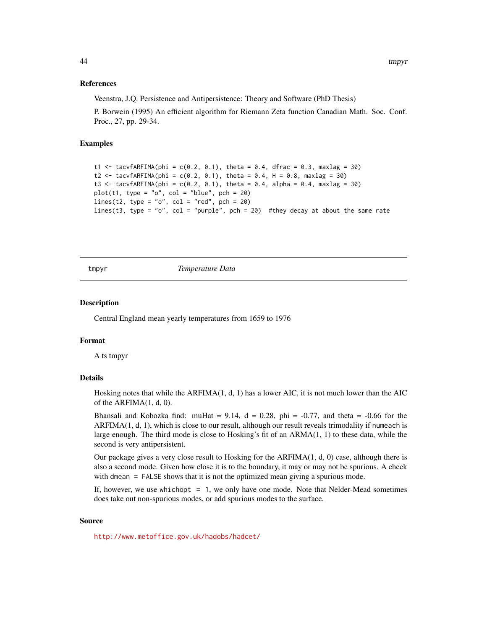#### <span id="page-43-0"></span>References

Veenstra, J.Q. Persistence and Antipersistence: Theory and Software (PhD Thesis)

P. Borwein (1995) An efficient algorithm for Riemann Zeta function Canadian Math. Soc. Conf. Proc., 27, pp. 29-34.

# Examples

```
t1 <- tacvfARFIMA(phi = c(0.2, 0.1), theta = 0.4, dfrac = 0.3, maxlag = 30)
t2 <- tacvfARFIMA(phi = c(0.2, 0.1), theta = 0.4, H = 0.8, maxlag = 30)
t3 <- tacvfARFIMA(phi = c(0.2, 0.1), theta = 0.4, alpha = 0.4, maxlag = 30)
plot(t1, type = "o", col = "blue", pre = 20)lines(t2, type = "o", col = "red", pch = 20)
lines(t3, type = "o", col = "purple", pch = 20) #they decay at about the same rate
```
<span id="page-43-1"></span>tmpyr *Temperature Data*

#### Description

Central England mean yearly temperatures from 1659 to 1976

#### Format

A ts tmpyr

#### Details

Hosking notes that while the ARFIMA(1, d, 1) has a lower AIC, it is not much lower than the AIC of the ARFIMA(1, d, 0).

Bhansali and Kobozka find: muHat =  $9.14$ , d = 0.28, phi =  $-0.77$ , and theta =  $-0.66$  for the ARFIMA(1, d, 1), which is close to our result, although our result reveals trimodality if numeach is large enough. The third mode is close to Hosking's fit of an  $ARMA(1, 1)$  to these data, while the second is very antipersistent.

Our package gives a very close result to Hosking for the ARFIMA(1, d, 0) case, although there is also a second mode. Given how close it is to the boundary, it may or may not be spurious. A check with dmean = FALSE shows that it is not the optimized mean giving a spurious mode.

If, however, we use whichopt = 1, we only have one mode. Note that Nelder-Mead sometimes does take out non-spurious modes, or add spurious modes to the surface.

#### Source

<http://www.metoffice.gov.uk/hadobs/hadcet/>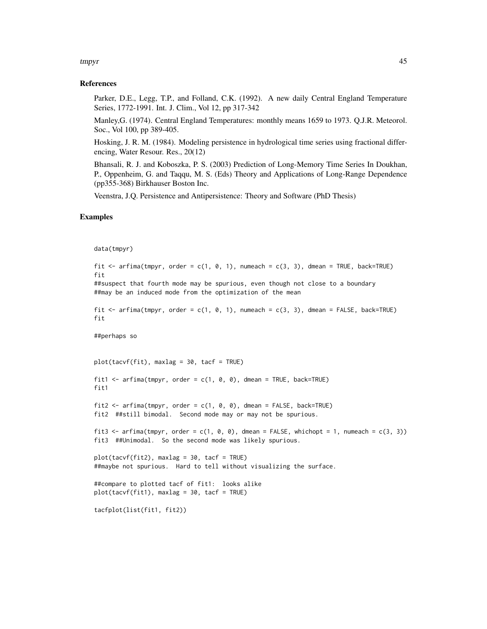#### tmpyr 45

#### References

Parker, D.E., Legg, T.P., and Folland, C.K. (1992). A new daily Central England Temperature Series, 1772-1991. Int. J. Clim., Vol 12, pp 317-342

Manley,G. (1974). Central England Temperatures: monthly means 1659 to 1973. Q.J.R. Meteorol. Soc., Vol 100, pp 389-405.

Hosking, J. R. M. (1984). Modeling persistence in hydrological time series using fractional differencing, Water Resour. Res., 20(12)

Bhansali, R. J. and Koboszka, P. S. (2003) Prediction of Long-Memory Time Series In Doukhan, P., Oppenheim, G. and Taqqu, M. S. (Eds) Theory and Applications of Long-Range Dependence (pp355-368) Birkhauser Boston Inc.

Veenstra, J.Q. Persistence and Antipersistence: Theory and Software (PhD Thesis)

#### Examples

#### data(tmpyr)

```
fit \le - arfima(tmpyr, order = c(1, 0, 1), numeach = c(3, 3), dmean = TRUE, back=TRUE)
fit
##suspect that fourth mode may be spurious, even though not close to a boundary
##may be an induced mode from the optimization of the mean
fit \le arfima(tmpyr, order = c(1, 0, 1), numeach = c(3, 3), dmean = FALSE, back=TRUE)
fit
##perhaps so
plot(tacvf(fit), maxlag = 30, tacf = TRUE)
fit1 <- arfima(tmpyr, order = c(1, 0, 0), dmean = TRUE, back=TRUE)
fit1
fit2 <- arfima(tmpyr, order = c(1, 0, 0), dmean = FALSE, back=TRUE)
fit2 ##still bimodal. Second mode may or may not be spurious.
fit3 \le - arfima(tmpyr, order = c(1, 0, 0), dmean = FALSE, whichopt = 1, numeach = c(3, 3))
fit3 ##Unimodal. So the second mode was likely spurious.
plot(tacvf(fit2), maxlag = 30, tacf = TRUE)
##maybe not spurious. Hard to tell without visualizing the surface.
##compare to plotted tacf of fit1: looks alike
plot(tacvf(fit1), maxlag = 30, tacf = TRUE)
tacfplot(list(fit1, fit2))
```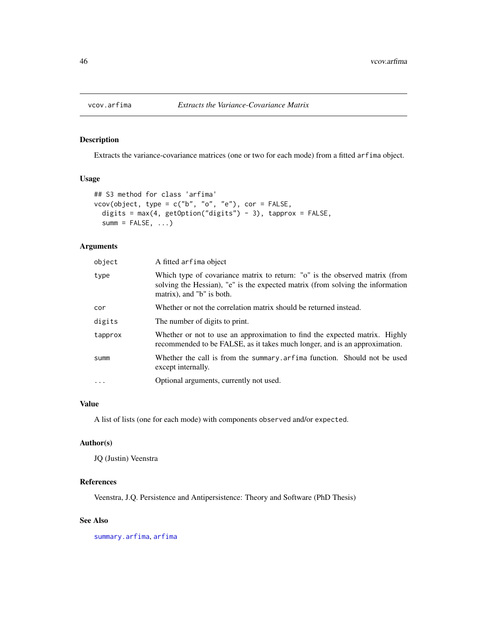<span id="page-45-1"></span><span id="page-45-0"></span>

# Description

Extracts the variance-covariance matrices (one or two for each mode) from a fitted arfima object.

# Usage

```
## S3 method for class 'arfima'
vcov(object, type = c("b", "o", "e"), cor = FALSE,
  digits = max(4, getOption("digits") - 3), tapprox = FALSE,
  summ = FALSE, ...)
```
## Arguments

| object     | A fitted arfima object                                                                                                                                                                     |
|------------|--------------------------------------------------------------------------------------------------------------------------------------------------------------------------------------------|
| type       | Which type of covariance matrix to return: "o" is the observed matrix (from<br>solving the Hessian), "e" is the expected matrix (from solving the information<br>matrix), and "b" is both. |
| cor        | Whether or not the correlation matrix should be returned instead.                                                                                                                          |
| digits     | The number of digits to print.                                                                                                                                                             |
| tapprox    | Whether or not to use an approximation to find the expected matrix. Highly<br>recommended to be FALSE, as it takes much longer, and is an approximation.                                   |
| summ       | Whether the call is from the summary arfima function. Should not be used<br>except internally.                                                                                             |
| $\ddots$ . | Optional arguments, currently not used.                                                                                                                                                    |

# Value

A list of lists (one for each mode) with components observed and/or expected.

# Author(s)

JQ (Justin) Veenstra

#### References

Veenstra, J.Q. Persistence and Antipersistence: Theory and Software (PhD Thesis)

# See Also

[summary.arfima](#page-38-1), [arfima](#page-5-1)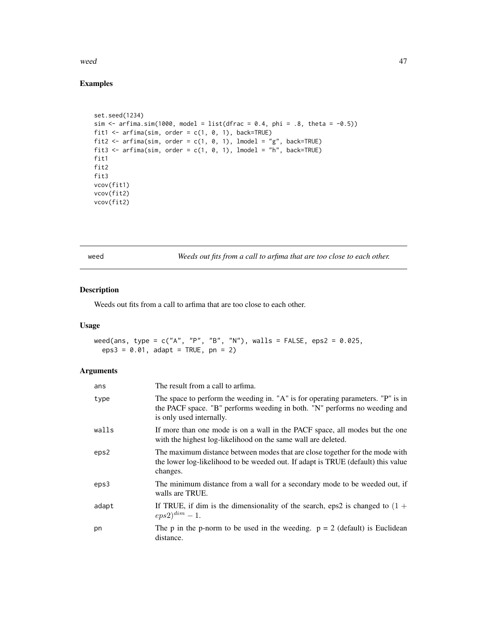#### <span id="page-46-0"></span>weed 47

# Examples

```
set.seed(1234)
sim \le arfima.sim(1000, model = list(dfrac = 0.4, phi = .8, theta = -0.5))
fit1 \le arfima(sim, order = c(1, 0, 1), back=TRUE)
fit2 <- arfima(sim, order = c(1, 0, 1), lmodel = "g", back=TRUE)
fit3 <- arfima(sim, order = c(1, 0, 1), lmodel = "h", back=TRUE)
fit1
fit2
fit3
vcov(fit1)
vcov(fit2)
vcov(fit2)
```
<span id="page-46-1"></span>

weed *Weeds out fits from a call to arfima that are too close to each other.*

# Description

Weeds out fits from a call to arfima that are too close to each other.

# Usage

weed(ans, type =  $c("A", "P", "B", "N")$ , walls = FALSE, eps2 = 0.025,  $eps3 = 0.01$ ,  $adapt = TRUE$ ,  $pn = 2)$ 

# Arguments

| ans   | The result from a call to arfima.                                                                                                                                                        |
|-------|------------------------------------------------------------------------------------------------------------------------------------------------------------------------------------------|
| type  | The space to perform the weeding in. "A" is for operating parameters. "P" is in<br>the PACF space. "B" performs weeding in both. "N" performs no weeding and<br>is only used internally. |
| walls | If more than one mode is on a wall in the PACF space, all modes but the one<br>with the highest log-likelihood on the same wall are deleted.                                             |
| eps2  | The maximum distance between modes that are close together for the mode with<br>the lower log-likelihood to be weeded out. If adapt is TRUE (default) this value<br>changes.             |
| eps3  | The minimum distance from a wall for a secondary mode to be weeded out, if<br>walls are TRUE.                                                                                            |
| adapt | If TRUE, if dim is the dimensionality of the search, eps2 is changed to $(1 +$<br>$eps2)^{dim} - 1.$                                                                                     |
| pn    | The p in the p-norm to be used in the weeding. $p = 2$ (default) is Euclidean<br>distance.                                                                                               |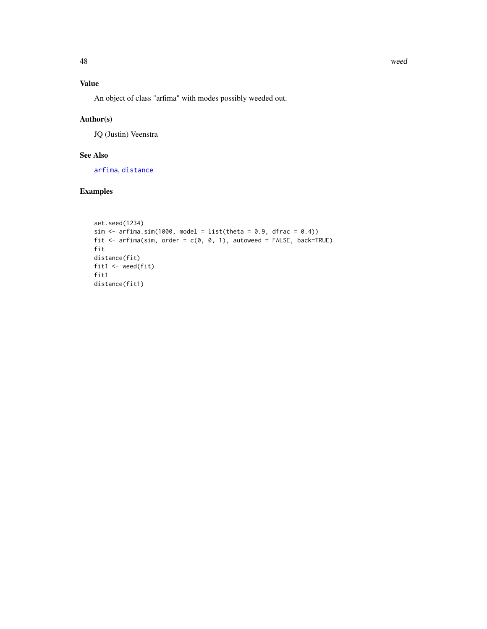# Value

An object of class "arfima" with modes possibly weeded out.

# Author(s)

JQ (Justin) Veenstra

# See Also

[arfima](#page-5-1), [distance](#page-15-1)

# Examples

```
set.seed(1234)
sim \le arfima.sim(1000, model = list(theta = 0.9, dfrac = 0.4))
fit \le - arfima(sim, order = c(0, 0, 1), autoweed = FALSE, back=TRUE)
fit
distance(fit)
fit1 \leftarrow weed(fit)
fit1
distance(fit1)
```
<span id="page-47-0"></span>48 weed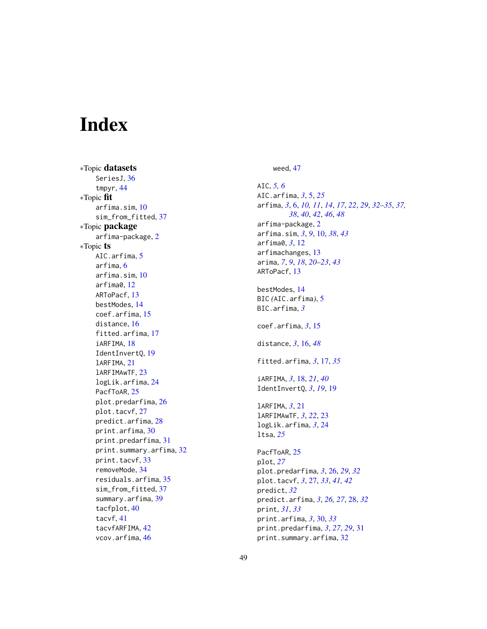# <span id="page-48-0"></span>Index

∗Topic datasets SeriesJ, [36](#page-35-0) tmpyr , [44](#page-43-0) ∗Topic fit arfima.sim , [10](#page-9-0) sim\_from\_fitted , [37](#page-36-0) ∗Topic package arfima-package , [2](#page-1-0) ∗Topic ts AIC.arfima, [5](#page-4-0) arfima , [6](#page-5-0) arfima.sim , [10](#page-9-0) arfima0 , [12](#page-11-0) ARToPacf, [13](#page-12-0) bestModes , [14](#page-13-0) coef.arfima , [15](#page-14-0) distance , [16](#page-15-0) fitted.arfima , [17](#page-16-0) iARFIMA , [18](#page-17-0) IdentInvertQ , [19](#page-18-0) lARFIMA , [21](#page-20-0) lARFIMAwTF , [23](#page-22-0) logLik.arfima , [24](#page-23-0) PacfToAR, [25](#page-24-0) plot.predarfima , [26](#page-25-0) plot.tacvf , [27](#page-26-0) predict.arfima , [28](#page-27-0) print.arfima , [30](#page-29-0) print.predarfima , [31](#page-30-0) print.summary.arfima , [32](#page-31-0) print.tacvf, [33](#page-32-0) removeMode , [34](#page-33-0) residuals.arfima , [35](#page-34-0) sim\_from\_fitted , [37](#page-36-0) summary.arfima , [39](#page-38-0) tacfplot , [40](#page-39-0) tacvf , [41](#page-40-0) tacvfARFIMA , [42](#page-41-0) vcov.arfima , [46](#page-45-0)

# weed , [47](#page-46-0)

AIC , *[5](#page-4-0) , [6](#page-5-0)* AIC.arfima , *[3](#page-2-0)* , [5](#page-4-0) , *[25](#page-24-0)* arfima , *[3](#page-2-0)* , [6](#page-5-0) , *[10](#page-9-0) , [11](#page-10-0)* , *[14](#page-13-0)* , *[17](#page-16-0)* , *[22](#page-21-0)* , *[29](#page-28-0)* , *[32](#page-31-0) [–35](#page-34-0)* , *[37,](#page-36-0) [38](#page-37-0)* , *[40](#page-39-0)* , *[42](#page-41-0)* , *[46](#page-45-0)* , *[48](#page-47-0)* arfima-package , [2](#page-1-0) arfima.sim , *[3](#page-2-0)* , *[9](#page-8-0)* , [10](#page-9-0) , *[38](#page-37-0)* , *[43](#page-42-0)* arfima0 , *[3](#page-2-0)* , [12](#page-11-0) arfimachanges , [13](#page-12-0) arima , *[7](#page-6-0)* , *[9](#page-8-0)* , *[18](#page-17-0)* , *[20](#page-19-0)[–23](#page-22-0)* , *[43](#page-42-0)* ARToPacf, [13](#page-12-0) bestModes , [14](#page-13-0) BIC *(*AIC.arfima *)* , [5](#page-4-0) BIC.arfima , *[3](#page-2-0)* coef.arfima , *[3](#page-2-0)* , [15](#page-14-0) distance , *[3](#page-2-0)* , [16](#page-15-0) , *[48](#page-47-0)* fitted.arfima, [3](#page-2-0), [17](#page-16-0), [35](#page-34-0) iARFIMA , *[3](#page-2-0)* , [18](#page-17-0) , *[21](#page-20-0)* , *[40](#page-39-0)* IdentInvertQ , *[3](#page-2-0)* , *[19](#page-18-0)* , [19](#page-18-0) lARFIMA , *[3](#page-2-0)* , [21](#page-20-0) lARFIMAwTF , *[3](#page-2-0)* , *[22](#page-21-0)* , [23](#page-22-0) logLik.arfima , *[3](#page-2-0)* , [24](#page-23-0) ltsa , *[25](#page-24-0)* PacfToAR, [25](#page-24-0) plot , *[27](#page-26-0)* plot.predarfima , *[3](#page-2-0)* , [26](#page-25-0) , *[29](#page-28-0)* , *[32](#page-31-0)* plot.tacvf , *[3](#page-2-0)* , [27](#page-26-0) , *[33](#page-32-0)* , *[41](#page-40-0) , [42](#page-41-0)* predict , *[32](#page-31-0)* predict.arfima , *[3](#page-2-0)* , *[26,](#page-25-0) [27](#page-26-0)* , [28](#page-27-0) , *[32](#page-31-0)* print , *[31](#page-30-0)* , *[33](#page-32-0)* print.arfima , *[3](#page-2-0)* , [30](#page-29-0) , *[33](#page-32-0)* print.predarfima , *[3](#page-2-0)* , *[27](#page-26-0)* , *[29](#page-28-0)* , [31](#page-30-0) print.summary.arfima , [32](#page-31-0)